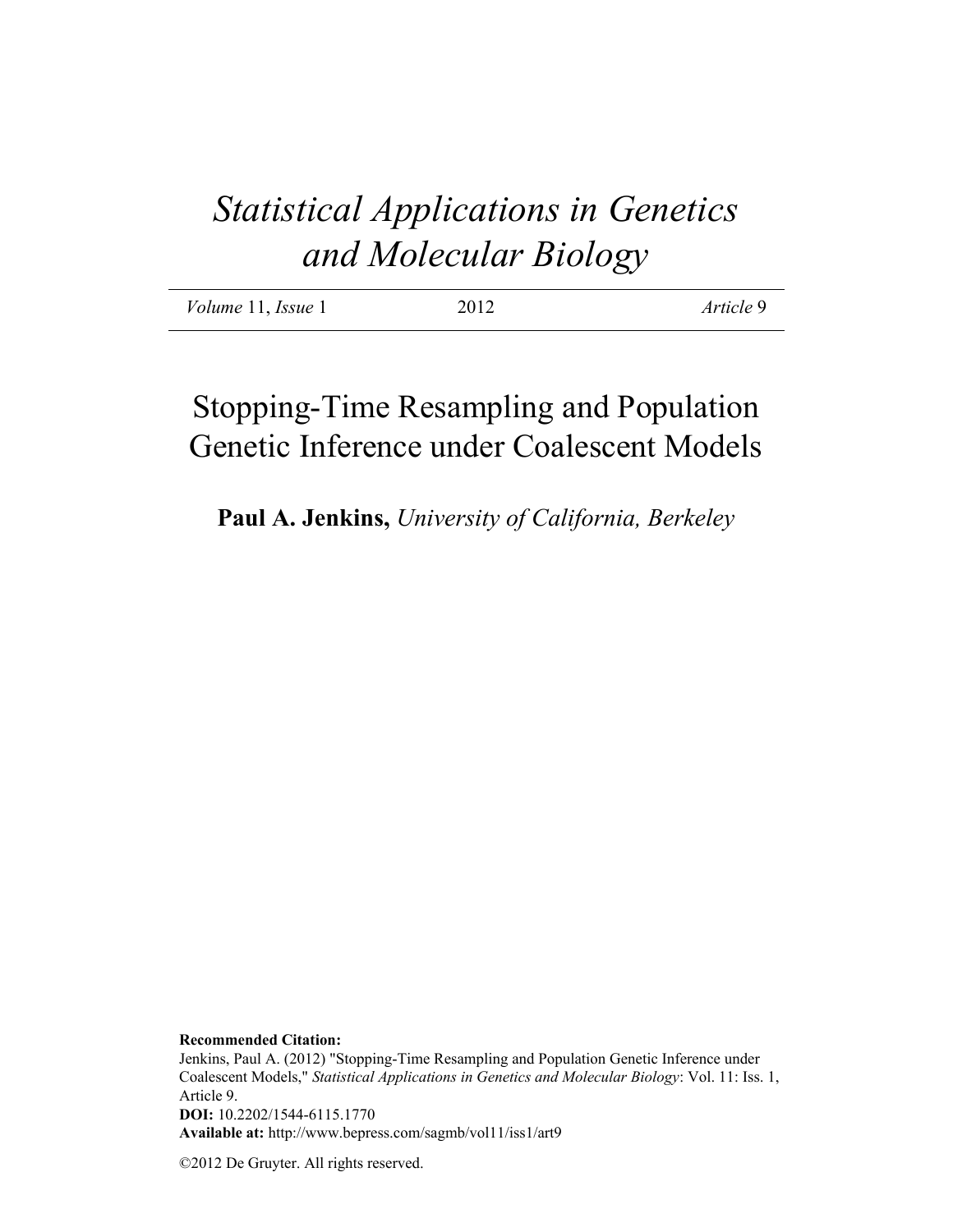# *Statistical Applications in Genetics and Molecular Biology*

| <i>Volume</i> 11, <i>Issue</i> 1 | 2012 | Article 9 |
|----------------------------------|------|-----------|
|                                  |      |           |

# Stopping-Time Resampling and Population Genetic Inference under Coalescent Models

**Paul A. Jenkins,** *University of California, Berkeley*

**Recommended Citation:**

Jenkins, Paul A. (2012) "Stopping-Time Resampling and Population Genetic Inference under Coalescent Models," *Statistical Applications in Genetics and Molecular Biology*: Vol. 11: Iss. 1, Article 9. **DOI:** 10.2202/1544-6115.1770 **Available at:** http://www.bepress.com/sagmb/vol11/iss1/art9

©2012 De Gruyter. All rights reserved.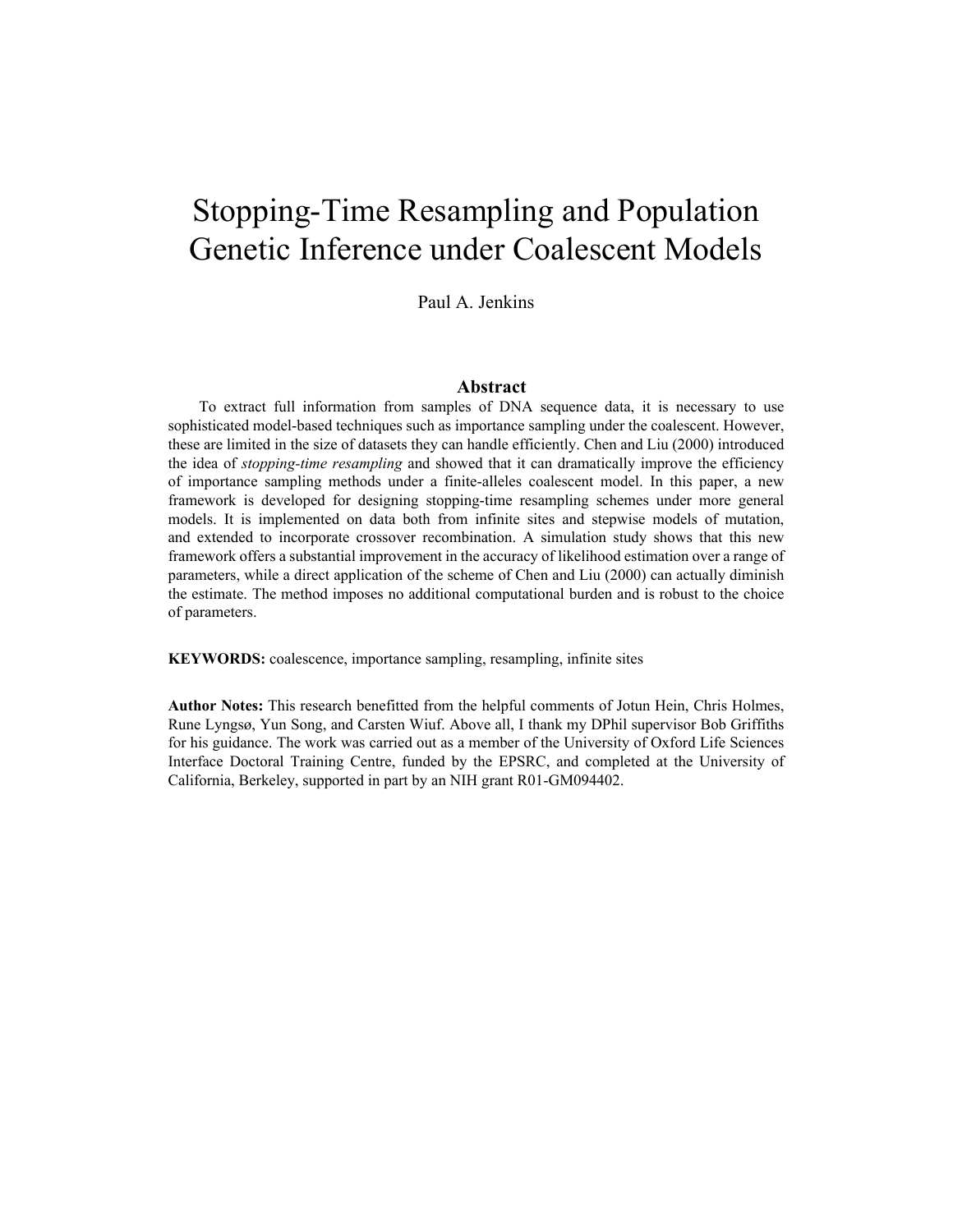# Stopping-Time Resampling and Population Genetic Inference under Coalescent Models

Paul A. Jenkins

#### **Abstract**

To extract full information from samples of DNA sequence data, it is necessary to use sophisticated model-based techniques such as importance sampling under the coalescent. However, these are limited in the size of datasets they can handle efficiently. Chen and Liu (2000) introduced the idea of *stopping-time resampling* and showed that it can dramatically improve the efficiency of importance sampling methods under a finite-alleles coalescent model. In this paper, a new framework is developed for designing stopping-time resampling schemes under more general models. It is implemented on data both from infinite sites and stepwise models of mutation, and extended to incorporate crossover recombination. A simulation study shows that this new framework offers a substantial improvement in the accuracy of likelihood estimation over a range of parameters, while a direct application of the scheme of Chen and Liu (2000) can actually diminish the estimate. The method imposes no additional computational burden and is robust to the choice of parameters.

**KEYWORDS:** coalescence, importance sampling, resampling, infinite sites

**Author Notes:** This research benefitted from the helpful comments of Jotun Hein, Chris Holmes, Rune Lyngsø, Yun Song, and Carsten Wiuf. Above all, I thank my DPhil supervisor Bob Griffiths for his guidance. The work was carried out as a member of the University of Oxford Life Sciences Interface Doctoral Training Centre, funded by the EPSRC, and completed at the University of California, Berkeley, supported in part by an NIH grant R01-GM094402.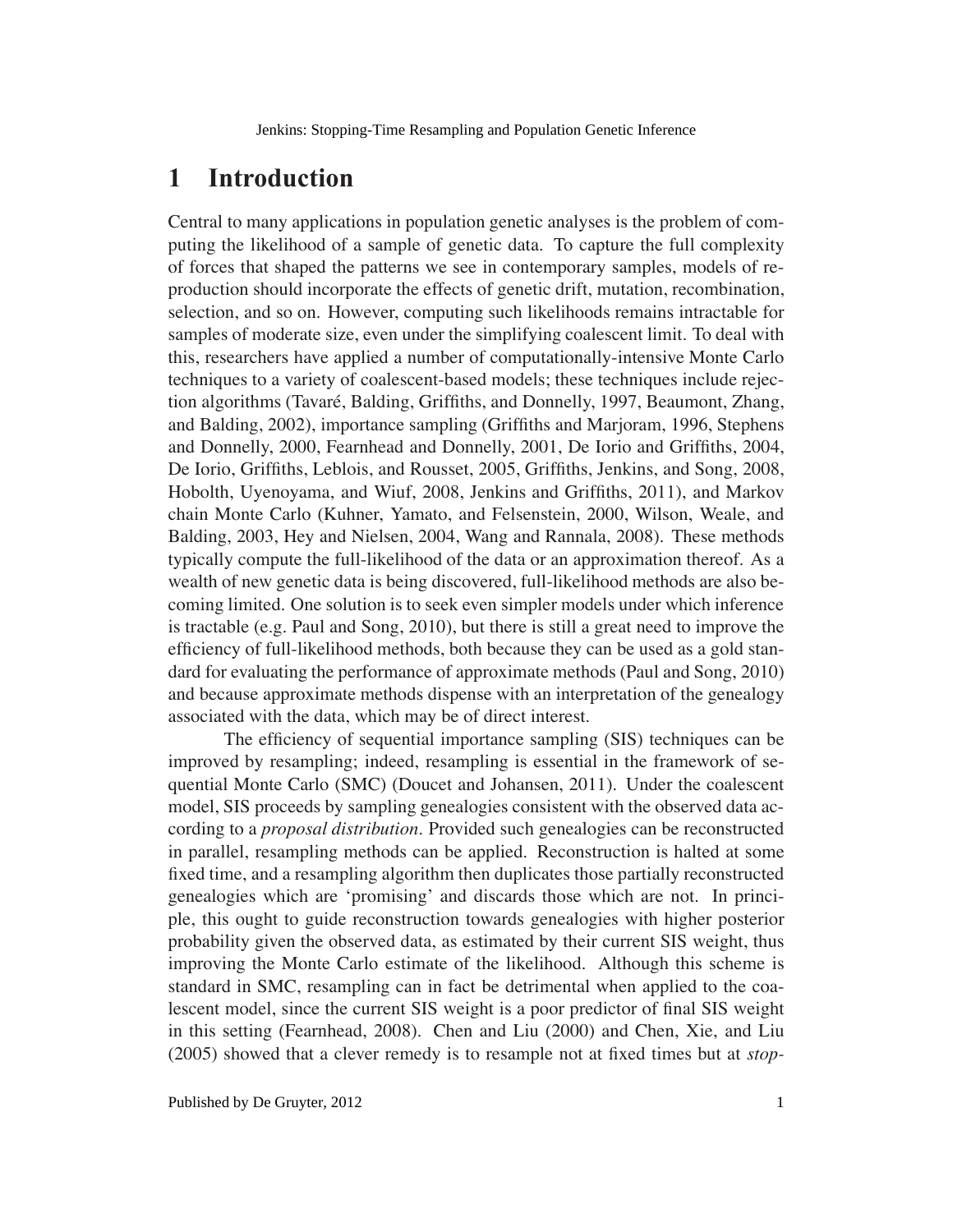# **1 Introduction**

Central to many applications in population genetic analyses is the problem of computing the likelihood of a sample of genetic data. To capture the full complexity of forces that shaped the patterns we see in contemporary samples, models of reproduction should incorporate the effects of genetic drift, mutation, recombination, selection, and so on. However, computing such likelihoods remains intractable for samples of moderate size, even under the simplifying coalescent limit. To deal with this, researchers have applied a number of computationally-intensive Monte Carlo techniques to a variety of coalescent-based models; these techniques include rejection algorithms (Tavaré, Balding, Griffiths, and Donnelly, 1997, Beaumont, Zhang, and Balding, 2002), importance sampling (Griffiths and Marjoram, 1996, Stephens and Donnelly, 2000, Fearnhead and Donnelly, 2001, De Iorio and Griffiths, 2004, De Iorio, Griffiths, Leblois, and Rousset, 2005, Griffiths, Jenkins, and Song, 2008, Hobolth, Uyenoyama, and Wiuf, 2008, Jenkins and Griffiths, 2011), and Markov chain Monte Carlo (Kuhner, Yamato, and Felsenstein, 2000, Wilson, Weale, and Balding, 2003, Hey and Nielsen, 2004, Wang and Rannala, 2008). These methods typically compute the full-likelihood of the data or an approximation thereof. As a wealth of new genetic data is being discovered, full-likelihood methods are also becoming limited. One solution is to seek even simpler models under which inference is tractable (e.g. Paul and Song, 2010), but there is still a great need to improve the efficiency of full-likelihood methods, both because they can be used as a gold standard for evaluating the performance of approximate methods (Paul and Song, 2010) and because approximate methods dispense with an interpretation of the genealogy associated with the data, which may be of direct interest.

The efficiency of sequential importance sampling (SIS) techniques can be improved by resampling; indeed, resampling is essential in the framework of sequential Monte Carlo (SMC) (Doucet and Johansen, 2011). Under the coalescent model, SIS proceeds by sampling genealogies consistent with the observed data according to a *proposal distribution*. Provided such genealogies can be reconstructed in parallel, resampling methods can be applied. Reconstruction is halted at some fixed time, and a resampling algorithm then duplicates those partially reconstructed genealogies which are 'promising' and discards those which are not. In principle, this ought to guide reconstruction towards genealogies with higher posterior probability given the observed data, as estimated by their current SIS weight, thus improving the Monte Carlo estimate of the likelihood. Although this scheme is standard in SMC, resampling can in fact be detrimental when applied to the coalescent model, since the current SIS weight is a poor predictor of final SIS weight in this setting (Fearnhead, 2008). Chen and Liu (2000) and Chen, Xie, and Liu (2005) showed that a clever remedy is to resample not at fixed times but at *stop-*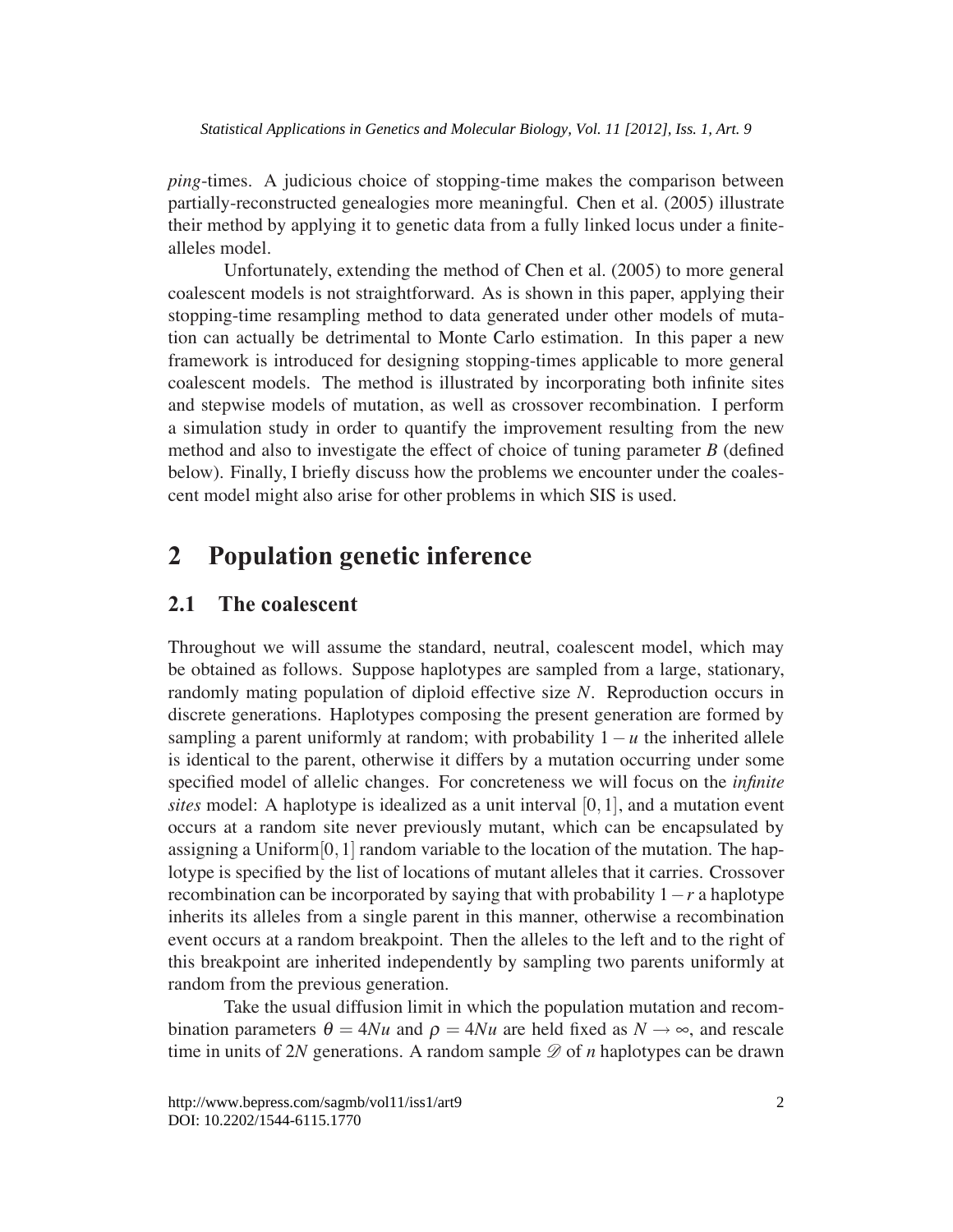*ping*-times. A judicious choice of stopping-time makes the comparison between partially-reconstructed genealogies more meaningful. Chen et al. (2005) illustrate their method by applying it to genetic data from a fully linked locus under a finitealleles model.

Unfortunately, extending the method of Chen et al. (2005) to more general coalescent models is not straightforward. As is shown in this paper, applying their stopping-time resampling method to data generated under other models of mutation can actually be detrimental to Monte Carlo estimation. In this paper a new framework is introduced for designing stopping-times applicable to more general coalescent models. The method is illustrated by incorporating both infinite sites and stepwise models of mutation, as well as crossover recombination. I perform a simulation study in order to quantify the improvement resulting from the new method and also to investigate the effect of choice of tuning parameter *B* (defined below). Finally, I briefly discuss how the problems we encounter under the coalescent model might also arise for other problems in which SIS is used.

# **2 Population genetic inference**

### **2.1 The coalescent**

Throughout we will assume the standard, neutral, coalescent model, which may be obtained as follows. Suppose haplotypes are sampled from a large, stationary, randomly mating population of diploid effective size *N*. Reproduction occurs in discrete generations. Haplotypes composing the present generation are formed by sampling a parent uniformly at random; with probability  $1 - u$  the inherited allele is identical to the parent, otherwise it differs by a mutation occurring under some specified model of allelic changes. For concreteness we will focus on the *infinite sites* model: A haplotype is idealized as a unit interval [0,1], and a mutation event occurs at a random site never previously mutant, which can be encapsulated by assigning a Uniform[0,1] random variable to the location of the mutation. The haplotype is specified by the list of locations of mutant alleles that it carries. Crossover recombination can be incorporated by saying that with probability 1−*r* a haplotype inherits its alleles from a single parent in this manner, otherwise a recombination event occurs at a random breakpoint. Then the alleles to the left and to the right of this breakpoint are inherited independently by sampling two parents uniformly at random from the previous generation.

Take the usual diffusion limit in which the population mutation and recombination parameters  $\theta = 4Nu$  and  $\rho = 4Nu$  are held fixed as  $N \rightarrow \infty$ , and rescale time in units of 2*N* generations. A random sample  $\mathscr{D}$  of *n* haplotypes can be drawn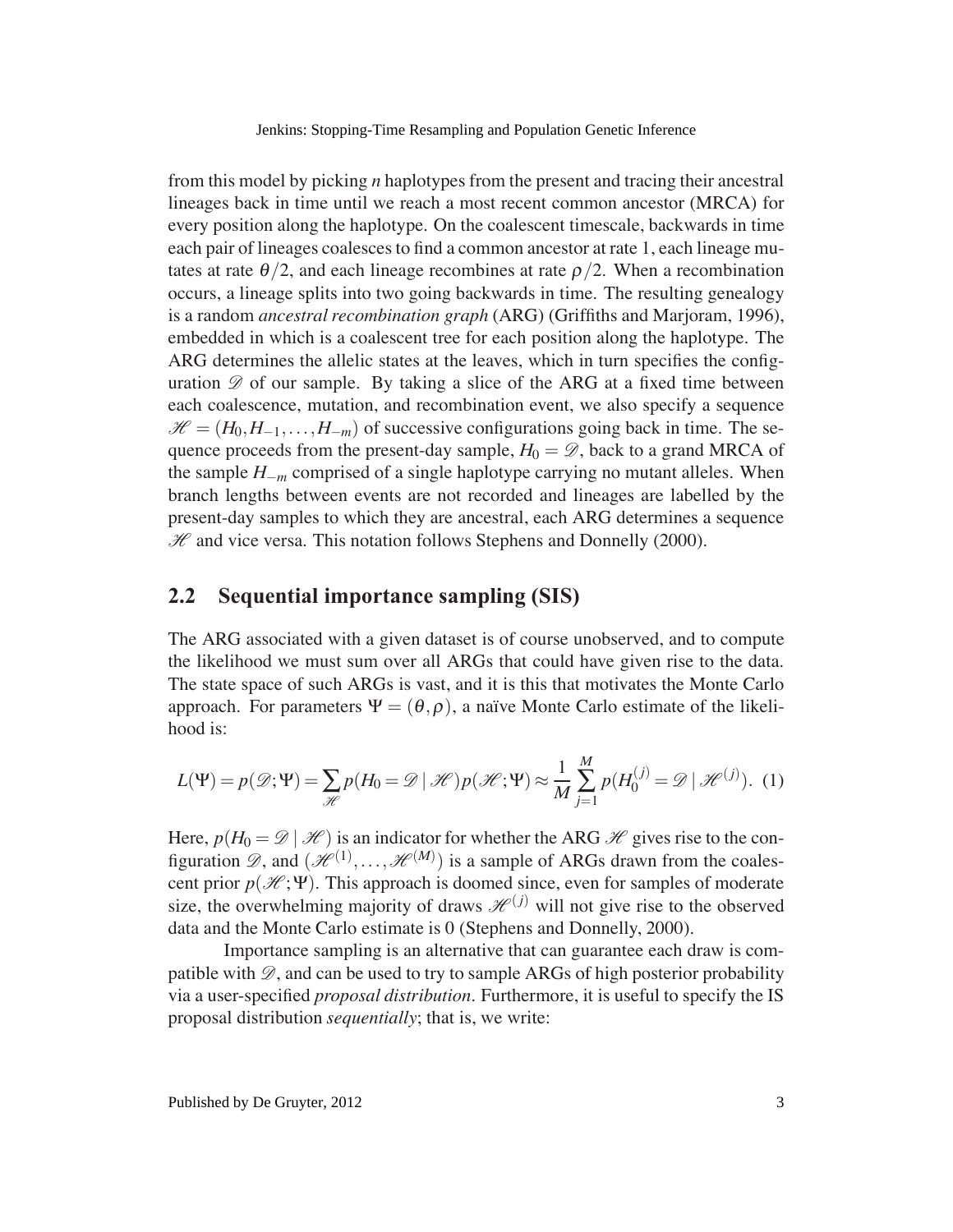from this model by picking *n* haplotypes from the present and tracing their ancestral lineages back in time until we reach a most recent common ancestor (MRCA) for every position along the haplotype. On the coalescent timescale, backwards in time each pair of lineages coalesces to find a common ancestor at rate 1, each lineage mutates at rate  $\theta/2$ , and each lineage recombines at rate  $\rho/2$ . When a recombination occurs, a lineage splits into two going backwards in time. The resulting genealogy is a random *ancestral recombination graph* (ARG) (Griffiths and Marjoram, 1996), embedded in which is a coalescent tree for each position along the haplotype. The ARG determines the allelic states at the leaves, which in turn specifies the configuration  $\mathscr D$  of our sample. By taking a slice of the ARG at a fixed time between each coalescence, mutation, and recombination event, we also specify a sequence  $\mathcal{H} = (H_0, H_{-1}, \ldots, H_{-m})$  of successive configurations going back in time. The sequence proceeds from the present-day sample,  $H_0 = \mathcal{D}$ , back to a grand MRCA of the sample *H*−*<sup>m</sup>* comprised of a single haplotype carrying no mutant alleles. When branch lengths between events are not recorded and lineages are labelled by the present-day samples to which they are ancestral, each ARG determines a sequence  $H$  and vice versa. This notation follows Stephens and Donnelly (2000).

### **2.2 Sequential importance sampling (SIS)**

The ARG associated with a given dataset is of course unobserved, and to compute the likelihood we must sum over all ARGs that could have given rise to the data. The state space of such ARGs is vast, and it is this that motivates the Monte Carlo approach. For parameters  $\Psi = (\theta, \rho)$ , a naïve Monte Carlo estimate of the likelihood is:

$$
L(\Psi) = p(\mathcal{D}; \Psi) = \sum_{\mathcal{H}} p(H_0 = \mathcal{D} \mid \mathcal{H}) p(\mathcal{H}; \Psi) \approx \frac{1}{M} \sum_{j=1}^{M} p(H_0^{(j)} = \mathcal{D} \mid \mathcal{H}^{(j)}).
$$
 (1)

Here,  $p(H_0 = \mathcal{D} \mid \mathcal{H})$  is an indicator for whether the ARG  $\mathcal{H}$  gives rise to the configuration  $\mathscr{D}$ , and  $(\mathscr{H}^{(1)}, \ldots, \mathscr{H}^{(M)})$  is a sample of ARGs drawn from the coalescent prior  $p(\mathcal{H}; \Psi)$ . This approach is doomed since, even for samples of moderate size, the overwhelming majority of draws  $\mathcal{H}^{(j)}$  will not give rise to the observed data and the Monte Carlo estimate is 0 (Stephens and Donnelly, 2000).

Importance sampling is an alternative that can guarantee each draw is compatible with  $\mathscr{D}$ , and can be used to try to sample ARGs of high posterior probability via a user-specified *proposal distribution*. Furthermore, it is useful to specify the IS proposal distribution *sequentially*; that is, we write: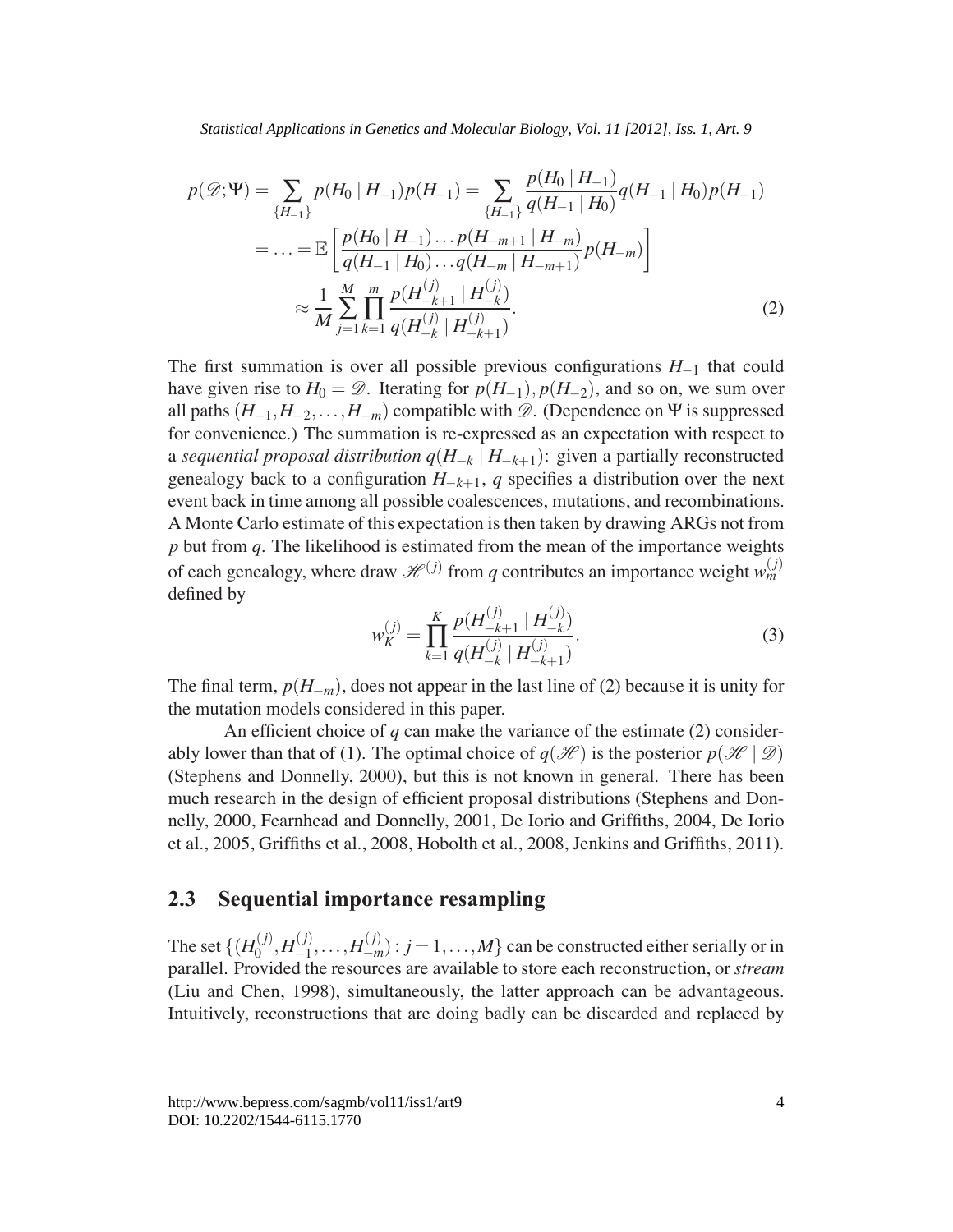*Statistical Applications in Genetics and Molecular Biology, Vol. 11 [2012], Iss. 1, Art. 9*

$$
p(\mathcal{D}; \Psi) = \sum_{\{H_{-1}\}} p(H_0 | H_{-1}) p(H_{-1}) = \sum_{\{H_{-1}\}} \frac{p(H_0 | H_{-1})}{q(H_{-1} | H_0)} q(H_{-1} | H_0) p(H_{-1})
$$
  
\n
$$
= \dots = \mathbb{E} \left[ \frac{p(H_0 | H_{-1}) \dots p(H_{-m+1} | H_{-m})}{q(H_{-1} | H_0) \dots q(H_{-m} | H_{-m+1})} p(H_{-m}) \right]
$$
  
\n
$$
\approx \frac{1}{M} \sum_{j=1}^{M} \prod_{k=1}^{m} \frac{p(H_{-k+1}^{(j)} | H_{-k}^{(j)})}{q(H_{-k}^{(j)} | H_{-k+1}^{(j)})}.
$$
 (2)

The first summation is over all possible previous configurations *H*−<sup>1</sup> that could have given rise to  $H_0 = \mathcal{D}$ . Iterating for  $p(H_{-1}), p(H_{-2})$ , and so on, we sum over all paths  $(H_{-1}, H_{-2},..., H_{-m})$  compatible with  $\mathscr{D}$ . (Dependence on  $\Psi$  is suppressed for convenience.) The summation is re-expressed as an expectation with respect to a *sequential proposal distribution q*(*H*−*<sup>k</sup>* | *H*−*k*+1): given a partially reconstructed genealogy back to a configuration  $H_{-k+1}$ , *q* specifies a distribution over the next event back in time among all possible coalescences, mutations, and recombinations. A Monte Carlo estimate of this expectation is then taken by drawing ARGs not from *p* but from *q*. The likelihood is estimated from the mean of the importance weights of each genealogy, where draw  $\mathcal{H}^{(j)}$  from *q* contributes an importance weight  $w_m^{(j)}$ defined by

$$
w_K^{(j)} = \prod_{k=1}^K \frac{p(H_{-k+1}^{(j)} \mid H_{-k}^{(j)})}{q(H_{-k}^{(j)} \mid H_{-k+1}^{(j)})}.
$$
 (3)

The final term,  $p(H_{-m})$ , does not appear in the last line of (2) because it is unity for the mutation models considered in this paper.

An efficient choice of *q* can make the variance of the estimate (2) considerably lower than that of (1). The optimal choice of  $q(\mathcal{H})$  is the posterior  $p(\mathcal{H} | \mathcal{D})$ (Stephens and Donnelly, 2000), but this is not known in general. There has been much research in the design of efficient proposal distributions (Stephens and Donnelly, 2000, Fearnhead and Donnelly, 2001, De Iorio and Griffiths, 2004, De Iorio et al., 2005, Griffiths et al., 2008, Hobolth et al., 2008, Jenkins and Griffiths, 2011).

### **2.3 Sequential importance resampling**

The set  $\{(H_0^{(j)}, H_{-1}^{(j)}, \ldots, H_{-m}^{(j)}): j = 1, \ldots, M\}$  can be constructed either serially or in parallel. Provided the resources are available to store each reconstruction, or *stream* (Liu and Chen, 1998), simultaneously, the latter approach can be advantageous. Intuitively, reconstructions that are doing badly can be discarded and replaced by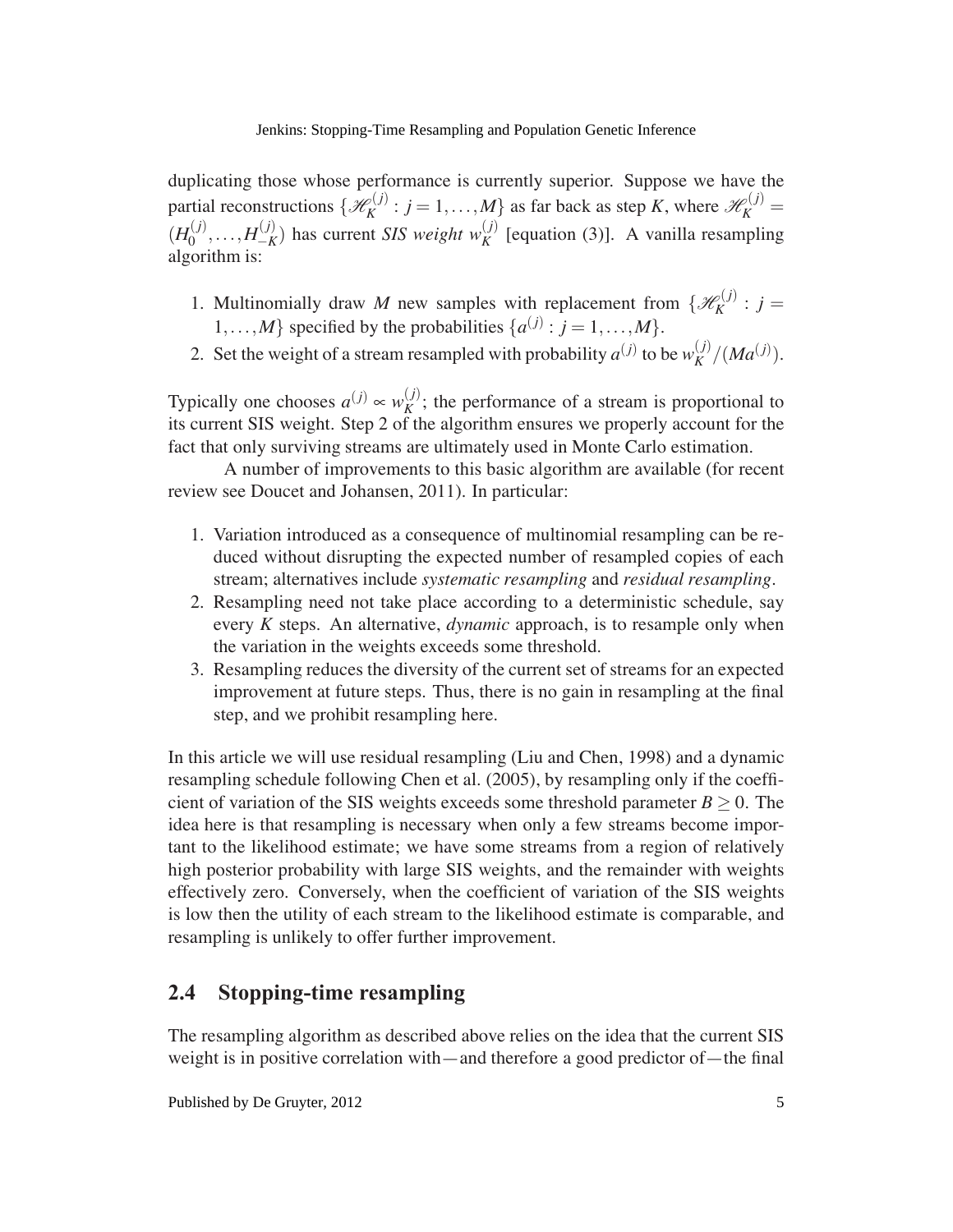duplicating those whose performance is currently superior. Suppose we have the partial reconstructions  $\{\mathcal{H}_K^{(j)} : j = 1, ..., M\}$  as far back as step *K*, where  $\mathcal{H}_K^{(j)} =$  $(H_0^{(j)},...,H_{-K}^{(j)})$  has current *SIS weight*  $w_K^{(j)}$  [equation (3)]. A vanilla resampling algorithm is:

- 1. Multinomially draw *M* new samples with replacement from  $\{\mathcal{H}_K^{(j)}: j =$ 1,...,*M*} specified by the probabilities  $\{a^{(j)} : j = 1, ..., M\}$ .
- 2. Set the weight of a stream resampled with probability  $a^{(j)}$  to be  $w_K^{(j)}/(Ma^{(j)})$ .

Typically one chooses  $a^{(j)} \propto w_K^{(j)}$ ; the performance of a stream is proportional to its current SIS weight. Step 2 of the algorithm ensures we properly account for the fact that only surviving streams are ultimately used in Monte Carlo estimation.

A number of improvements to this basic algorithm are available (for recent review see Doucet and Johansen, 2011). In particular:

- 1. Variation introduced as a consequence of multinomial resampling can be reduced without disrupting the expected number of resampled copies of each stream; alternatives include *systematic resampling* and *residual resampling*.
- 2. Resampling need not take place according to a deterministic schedule, say every *K* steps. An alternative, *dynamic* approach, is to resample only when the variation in the weights exceeds some threshold.
- 3. Resampling reduces the diversity of the current set of streams for an expected improvement at future steps. Thus, there is no gain in resampling at the final step, and we prohibit resampling here.

In this article we will use residual resampling (Liu and Chen, 1998) and a dynamic resampling schedule following Chen et al. (2005), by resampling only if the coefficient of variation of the SIS weights exceeds some threshold parameter  $B \ge 0$ . The idea here is that resampling is necessary when only a few streams become important to the likelihood estimate; we have some streams from a region of relatively high posterior probability with large SIS weights, and the remainder with weights effectively zero. Conversely, when the coefficient of variation of the SIS weights is low then the utility of each stream to the likelihood estimate is comparable, and resampling is unlikely to offer further improvement.

## **2.4 Stopping-time resampling**

The resampling algorithm as described above relies on the idea that the current SIS weight is in positive correlation with—and therefore a good predictor of—the final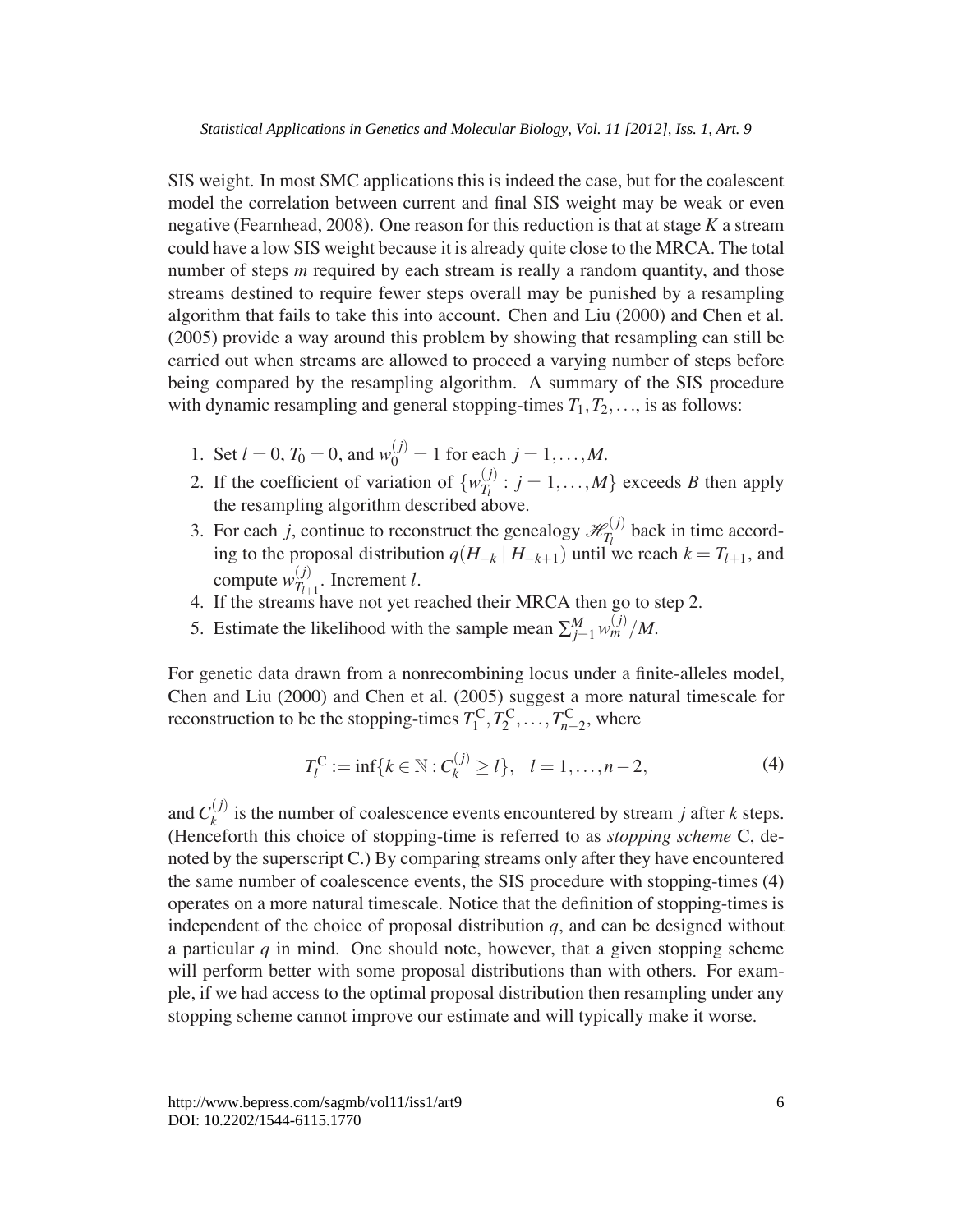SIS weight. In most SMC applications this is indeed the case, but for the coalescent model the correlation between current and final SIS weight may be weak or even negative (Fearnhead, 2008). One reason for this reduction is that at stage *K* a stream could have a low SIS weight because it is already quite close to the MRCA. The total number of steps *m* required by each stream is really a random quantity, and those streams destined to require fewer steps overall may be punished by a resampling algorithm that fails to take this into account. Chen and Liu (2000) and Chen et al. (2005) provide a way around this problem by showing that resampling can still be carried out when streams are allowed to proceed a varying number of steps before being compared by the resampling algorithm. A summary of the SIS procedure with dynamic resampling and general stopping-times  $T_1, T_2, \ldots$ , is as follows:

- 1. Set  $l = 0$ ,  $T_0 = 0$ , and  $w_0^{(j)} = 1$  for each  $j = 1, ..., M$ .
- 2. If the coefficient of variation of  $\{w_{T_l}^{(j)} : j = 1, ..., M\}$  exceeds *B* then apply the resampling algorithm described above.
- 3. For each *j*, continue to reconstruct the genealogy  $\mathcal{H}_{T_l}^{(j)}$  back in time according to the proposal distribution *q*(*H*−*<sup>k</sup>* | *H*−*k*+1) until we reach *k* = *Tl*+1, and compute  $w_{T_{l+1}}^{(j)}$ . Increment *l*.
- 4. If the streams have not yet reached their MRCA then go to step 2.
- 5. Estimate the likelihood with the sample mean  $\sum_{j=1}^{M} w_m^{(j)}/M$ .

For genetic data drawn from a nonrecombining locus under a finite-alleles model, Chen and Liu (2000) and Chen et al. (2005) suggest a more natural timescale for reconstruction to be the stopping-times  $T_1^C, T_2^C, \ldots, T_{n-2}^C$ , where

$$
T_l^{\mathcal{C}} := \inf \{ k \in \mathbb{N} : C_k^{(j)} \ge l \}, \quad l = 1, \dots, n-2,
$$
 (4)

and  $C_k^{(j)}$  is the number of coalescence events encountered by stream *j* after *k* steps. (Henceforth this choice of stopping-time is referred to as *stopping scheme* C, denoted by the superscript C.) By comparing streams only after they have encountered the same number of coalescence events, the SIS procedure with stopping-times (4) operates on a more natural timescale. Notice that the definition of stopping-times is independent of the choice of proposal distribution  $q$ , and can be designed without a particular *q* in mind. One should note, however, that a given stopping scheme will perform better with some proposal distributions than with others. For example, if we had access to the optimal proposal distribution then resampling under any stopping scheme cannot improve our estimate and will typically make it worse.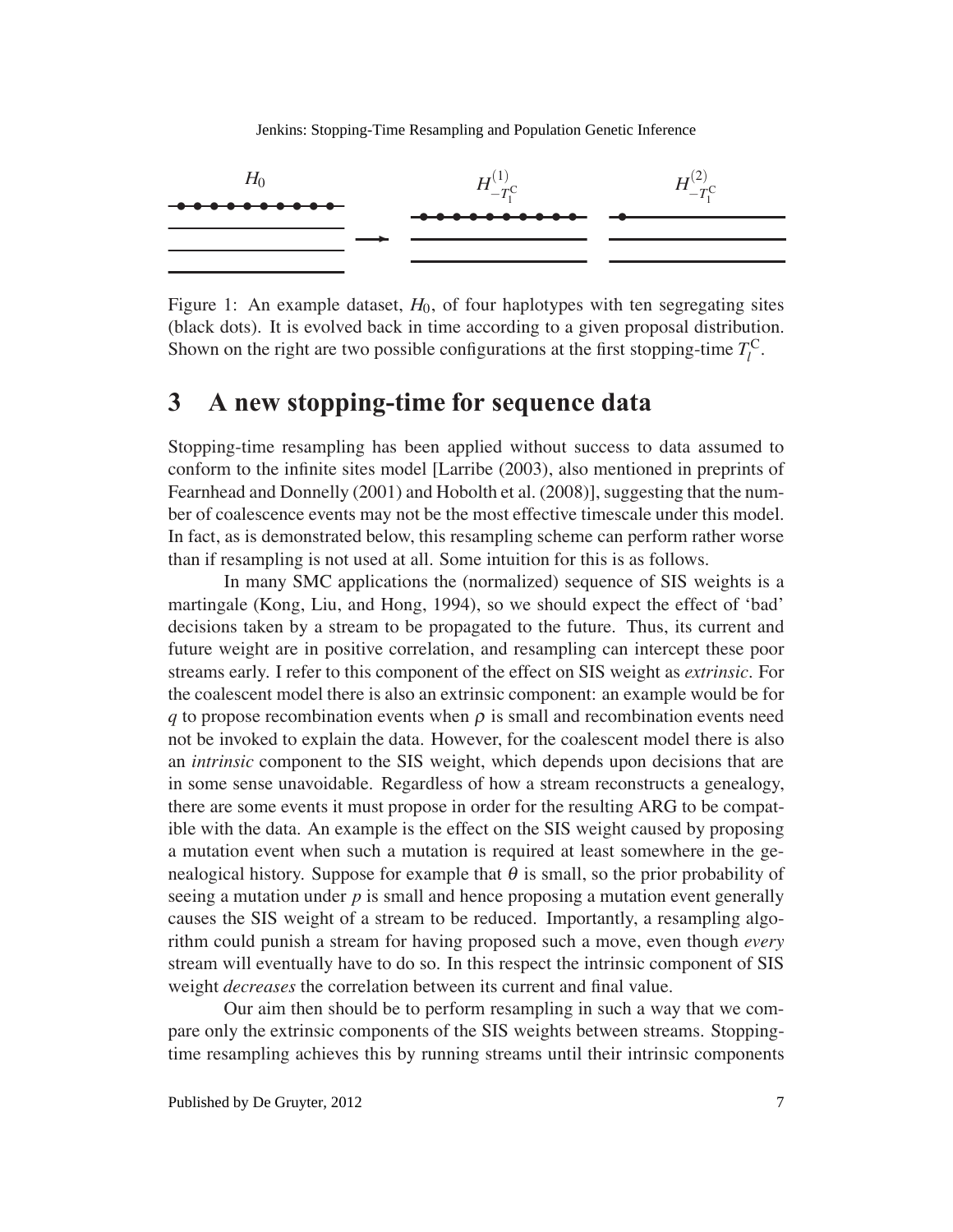

Figure 1: An example dataset,  $H_0$ , of four haplotypes with ten segregating sites (black dots). It is evolved back in time according to a given proposal distribution. Shown on the right are two possible configurations at the first stopping-time  $T_l^C$ .

## **3 A new stopping-time for sequence data**

Stopping-time resampling has been applied without success to data assumed to conform to the infinite sites model [Larribe (2003), also mentioned in preprints of Fearnhead and Donnelly (2001) and Hobolth et al. (2008)], suggesting that the number of coalescence events may not be the most effective timescale under this model. In fact, as is demonstrated below, this resampling scheme can perform rather worse than if resampling is not used at all. Some intuition for this is as follows.

In many SMC applications the (normalized) sequence of SIS weights is a martingale (Kong, Liu, and Hong, 1994), so we should expect the effect of 'bad' decisions taken by a stream to be propagated to the future. Thus, its current and future weight are in positive correlation, and resampling can intercept these poor streams early. I refer to this component of the effect on SIS weight as *extrinsic*. For the coalescent model there is also an extrinsic component: an example would be for *q* to propose recombination events when  $\rho$  is small and recombination events need not be invoked to explain the data. However, for the coalescent model there is also an *intrinsic* component to the SIS weight, which depends upon decisions that are in some sense unavoidable. Regardless of how a stream reconstructs a genealogy, there are some events it must propose in order for the resulting ARG to be compatible with the data. An example is the effect on the SIS weight caused by proposing a mutation event when such a mutation is required at least somewhere in the genealogical history. Suppose for example that  $\theta$  is small, so the prior probability of seeing a mutation under *p* is small and hence proposing a mutation event generally causes the SIS weight of a stream to be reduced. Importantly, a resampling algorithm could punish a stream for having proposed such a move, even though *every* stream will eventually have to do so. In this respect the intrinsic component of SIS weight *decreases* the correlation between its current and final value.

Our aim then should be to perform resampling in such a way that we compare only the extrinsic components of the SIS weights between streams. Stoppingtime resampling achieves this by running streams until their intrinsic components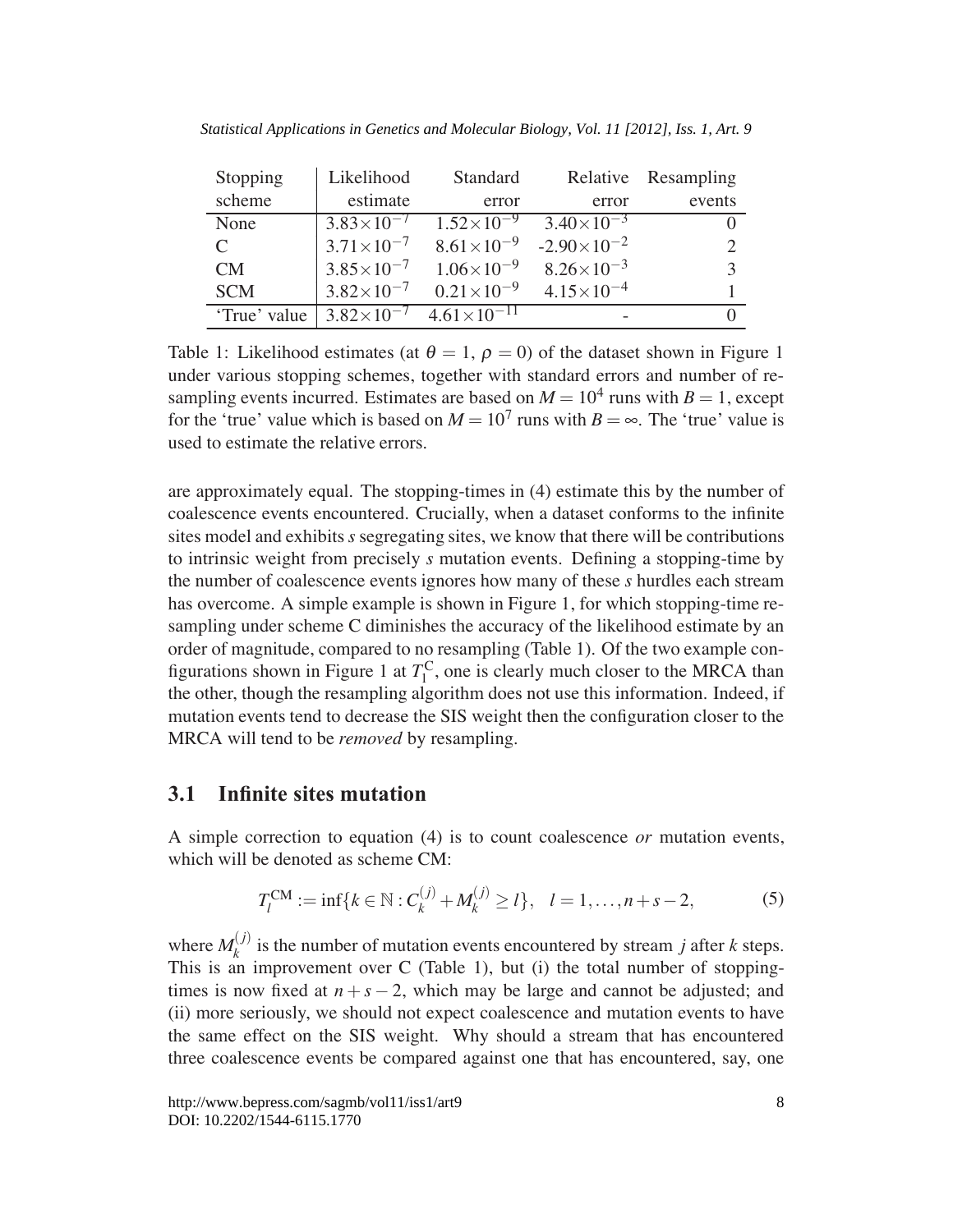| Stopping                    | Likelihood            | Standard              |                       | Relative Resampling |
|-----------------------------|-----------------------|-----------------------|-----------------------|---------------------|
| scheme                      | estimate              | error                 | error                 | events              |
| None                        | $3.83\times10^{-7}$   | $1.52\times10^{-9}$   | $3.40\times10^{-3}$   |                     |
| $\mathcal{C}_{\mathcal{C}}$ | $3.71 \times 10^{-7}$ | $8.61 \times 10^{-9}$ | $-2.90\times10^{-2}$  |                     |
| CM                          | $3.85 \times 10^{-7}$ | $1.06\times10^{-9}$   | $8.26 \times 10^{-3}$ | $\mathbf{z}$        |
| <b>SCM</b>                  | $3.82\times10^{-7}$   | $0.21\times10^{-9}$   | $4.15 \times 10^{-4}$ |                     |
| 'True' value                | $3.82\times10^{-7}$   | $4.61\times10^{-11}$  |                       |                     |

*Statistical Applications in Genetics and Molecular Biology, Vol. 11 [2012], Iss. 1, Art. 9*

Table 1: Likelihood estimates (at  $\theta = 1$ ,  $\rho = 0$ ) of the dataset shown in Figure 1 under various stopping schemes, together with standard errors and number of resampling events incurred. Estimates are based on  $M = 10^4$  runs with  $B = 1$ , except for the 'true' value which is based on  $M = 10^7$  runs with  $B = \infty$ . The 'true' value is used to estimate the relative errors.

are approximately equal. The stopping-times in (4) estimate this by the number of coalescence events encountered. Crucially, when a dataset conforms to the infinite sites model and exhibits*s* segregating sites, we know that there will be contributions to intrinsic weight from precisely *s* mutation events. Defining a stopping-time by the number of coalescence events ignores how many of these *s* hurdles each stream has overcome. A simple example is shown in Figure 1, for which stopping-time resampling under scheme C diminishes the accuracy of the likelihood estimate by an order of magnitude, compared to no resampling (Table 1). Of the two example configurations shown in Figure 1 at  $T_1^C$ , one is clearly much closer to the MRCA than the other, though the resampling algorithm does not use this information. Indeed, if mutation events tend to decrease the SIS weight then the configuration closer to the MRCA will tend to be *removed* by resampling.

### **3.1 Infinite sites mutation**

A simple correction to equation (4) is to count coalescence *or* mutation events, which will be denoted as scheme CM:

$$
T_l^{CM} := \inf\{k \in \mathbb{N} : C_k^{(j)} + M_k^{(j)} \ge l\}, \quad l = 1, \dots, n + s - 2,\tag{5}
$$

where  $M_k^{(j)}$  is the number of mutation events encountered by stream *j* after *k* steps. This is an improvement over C (Table 1), but (i) the total number of stoppingtimes is now fixed at  $n + s - 2$ , which may be large and cannot be adjusted; and (ii) more seriously, we should not expect coalescence and mutation events to have the same effect on the SIS weight. Why should a stream that has encountered three coalescence events be compared against one that has encountered, say, one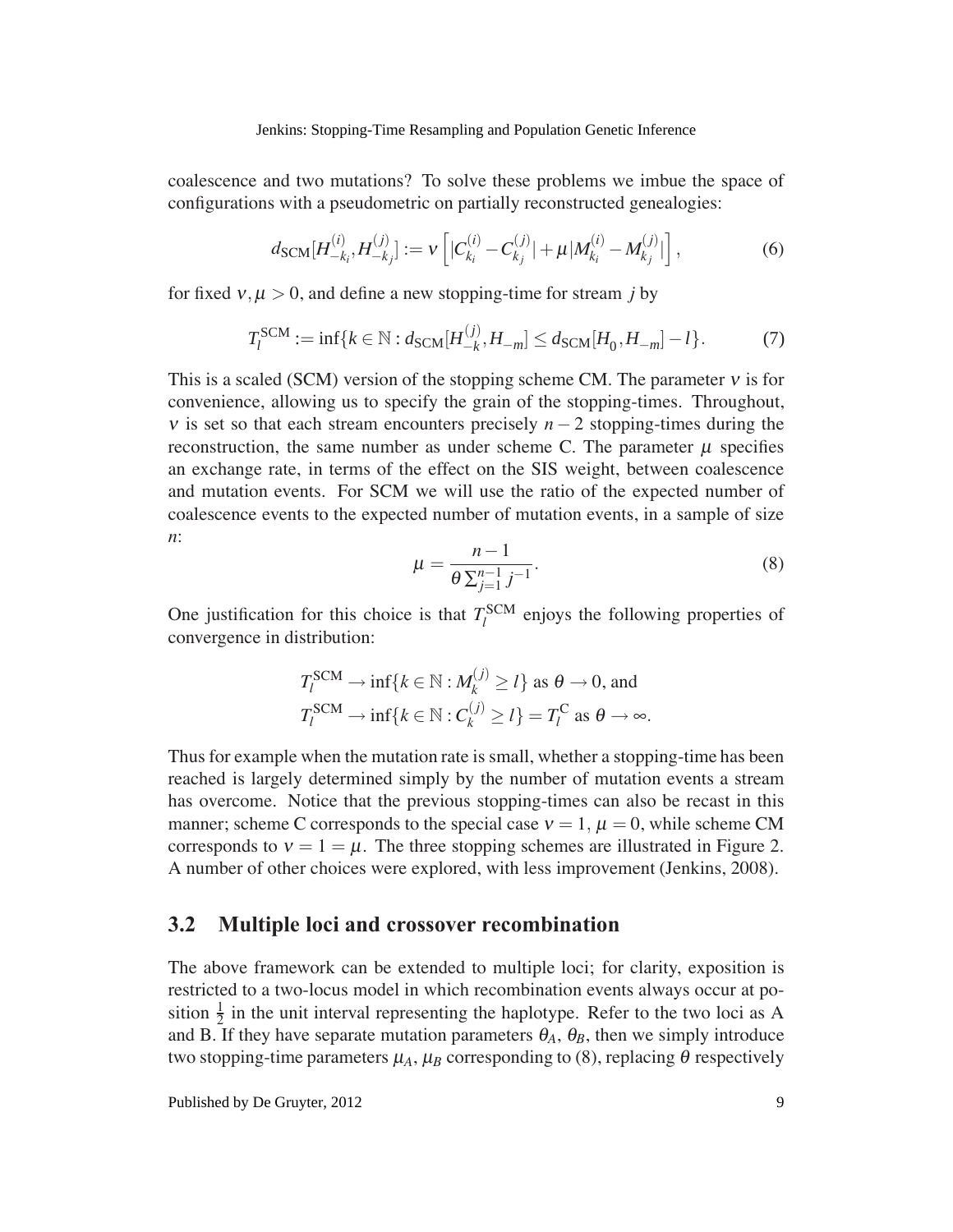coalescence and two mutations? To solve these problems we imbue the space of configurations with a pseudometric on partially reconstructed genealogies:

$$
d_{\text{SCM}}[H_{-k_i}^{(i)}, H_{-k_j}^{(j)}] := \nu \left[ |C_{k_i}^{(i)} - C_{k_j}^{(j)}| + \mu |M_{k_i}^{(i)} - M_{k_j}^{(j)}| \right],\tag{6}
$$

for fixed  $v, \mu > 0$ , and define a new stopping-time for stream *j* by

$$
T_l^{\text{SCM}} := \inf \{ k \in \mathbb{N} : d_{\text{SCM}}[H_{-k}^{(j)}, H_{-m}] \le d_{\text{SCM}}[H_0, H_{-m}] - l \}. \tag{7}
$$

This is a scaled (SCM) version of the stopping scheme CM. The parameter  $v$  is for convenience, allowing us to specify the grain of the stopping-times. Throughout, v is set so that each stream encounters precisely  $n-2$  stopping-times during the reconstruction, the same number as under scheme C. The parameter  $\mu$  specifies an exchange rate, in terms of the effect on the SIS weight, between coalescence and mutation events. For SCM we will use the ratio of the expected number of coalescence events to the expected number of mutation events, in a sample of size *n*:

$$
\mu = \frac{n-1}{\theta \sum_{j=1}^{n-1} j^{-1}}.
$$
\n(8)

One justification for this choice is that  $T_l^{\text{SCM}}$  enjoys the following properties of convergence in distribution:

$$
T_l^{\text{SCM}} \to \inf\{k \in \mathbb{N} : M_k^{(j)} \ge l\} \text{ as } \theta \to 0 \text{, and}
$$
  

$$
T_l^{\text{SCM}} \to \inf\{k \in \mathbb{N} : C_k^{(j)} \ge l\} = T_l^{\text{C}} \text{ as } \theta \to \infty.
$$

Thus for example when the mutation rate is small, whether a stopping-time has been reached is largely determined simply by the number of mutation events a stream has overcome. Notice that the previous stopping-times can also be recast in this manner; scheme C corresponds to the special case  $v = 1$ ,  $\mu = 0$ , while scheme CM corresponds to  $v = 1 = \mu$ . The three stopping schemes are illustrated in Figure 2. A number of other choices were explored, with less improvement (Jenkins, 2008).

### **3.2 Multiple loci and crossover recombination**

The above framework can be extended to multiple loci; for clarity, exposition is restricted to a two-locus model in which recombination events always occur at position  $\frac{1}{2}$  in the unit interval representing the haplotype. Refer to the two loci as A and B. If they have separate mutation parameters  $\theta_A$ ,  $\theta_B$ , then we simply introduce two stopping-time parameters  $\mu_A$ ,  $\mu_B$  corresponding to (8), replacing  $\theta$  respectively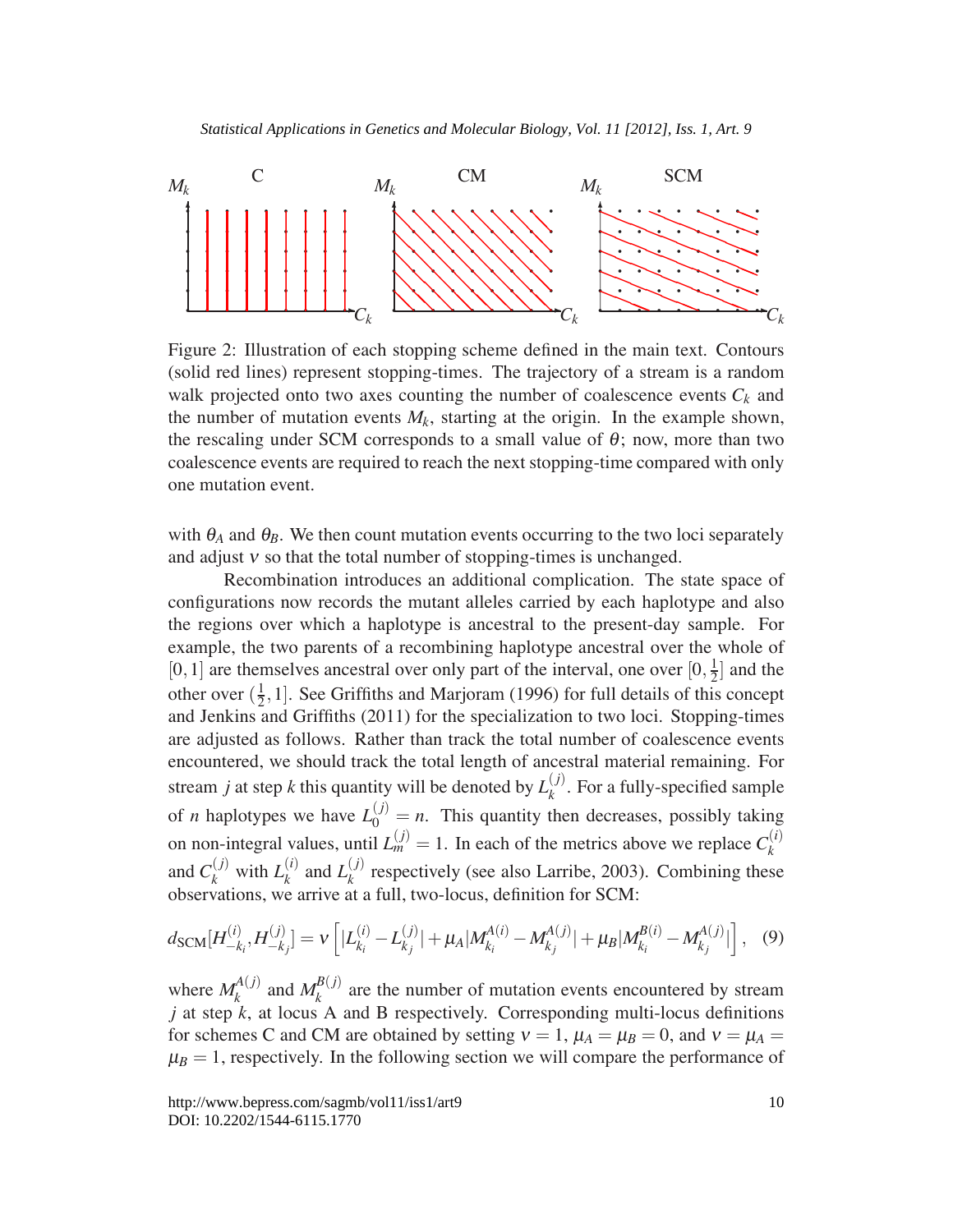

Figure 2: Illustration of each stopping scheme defined in the main text. Contours (solid red lines) represent stopping-times. The trajectory of a stream is a random walk projected onto two axes counting the number of coalescence events  $C_k$  and the number of mutation events  $M_k$ , starting at the origin. In the example shown, the rescaling under SCM corresponds to a small value of  $\theta$ ; now, more than two coalescence events are required to reach the next stopping-time compared with only one mutation event.

with  $\theta_A$  and  $\theta_B$ . We then count mutation events occurring to the two loci separately and adjust  $v$  so that the total number of stopping-times is unchanged.

Recombination introduces an additional complication. The state space of configurations now records the mutant alleles carried by each haplotype and also the regions over which a haplotype is ancestral to the present-day sample. For example, the two parents of a recombining haplotype ancestral over the whole of [0, 1] are themselves ancestral over only part of the interval, one over  $[0, \frac{1}{2}]$  and the other over  $(\frac{1}{2}, 1]$ . See Griffiths and Marjoram (1996) for full details of this concept and Jenkins and Griffiths (2011) for the specialization to two loci. Stopping-times are adjusted as follows. Rather than track the total number of coalescence events encountered, we should track the total length of ancestral material remaining. For stream *j* at step *k* this quantity will be denoted by  $L_k^{(j)}$ . For a fully-specified sample of *n* haplotypes we have  $L_0^{(j)} = n$ . This quantity then decreases, possibly taking on non-integral values, until  $L_m^{(j)} = 1$ . In each of the metrics above we replace  $C_k^{(i)}$ and  $C_k^{(j)}$  with  $L_k^{(i)}$  and  $L_k^{(j)}$  respectively (see also Larribe, 2003). Combining these observations, we arrive at a full, two-locus, definition for SCM:

$$
d_{\text{SCM}}[H_{-k_i}^{(i)}, H_{-k_j}^{(j)}] = \nu \left[ |L_{k_i}^{(i)} - L_{k_j}^{(j)}| + \mu_A |M_{k_i}^{A(i)} - M_{k_j}^{A(j)}| + \mu_B |M_{k_i}^{B(i)} - M_{k_j}^{A(j)}| \right], \quad (9)
$$

where  $M_k^{A(j)}$  and  $M_k^{B(j)}$  are the number of mutation events encountered by stream  $j$  at step  $k$ , at locus A and B respectively. Corresponding multi-locus definitions for schemes C and CM are obtained by setting  $v = 1$ ,  $\mu_A = \mu_B = 0$ , and  $v = \mu_A =$  $\mu_B = 1$ , respectively. In the following section we will compare the performance of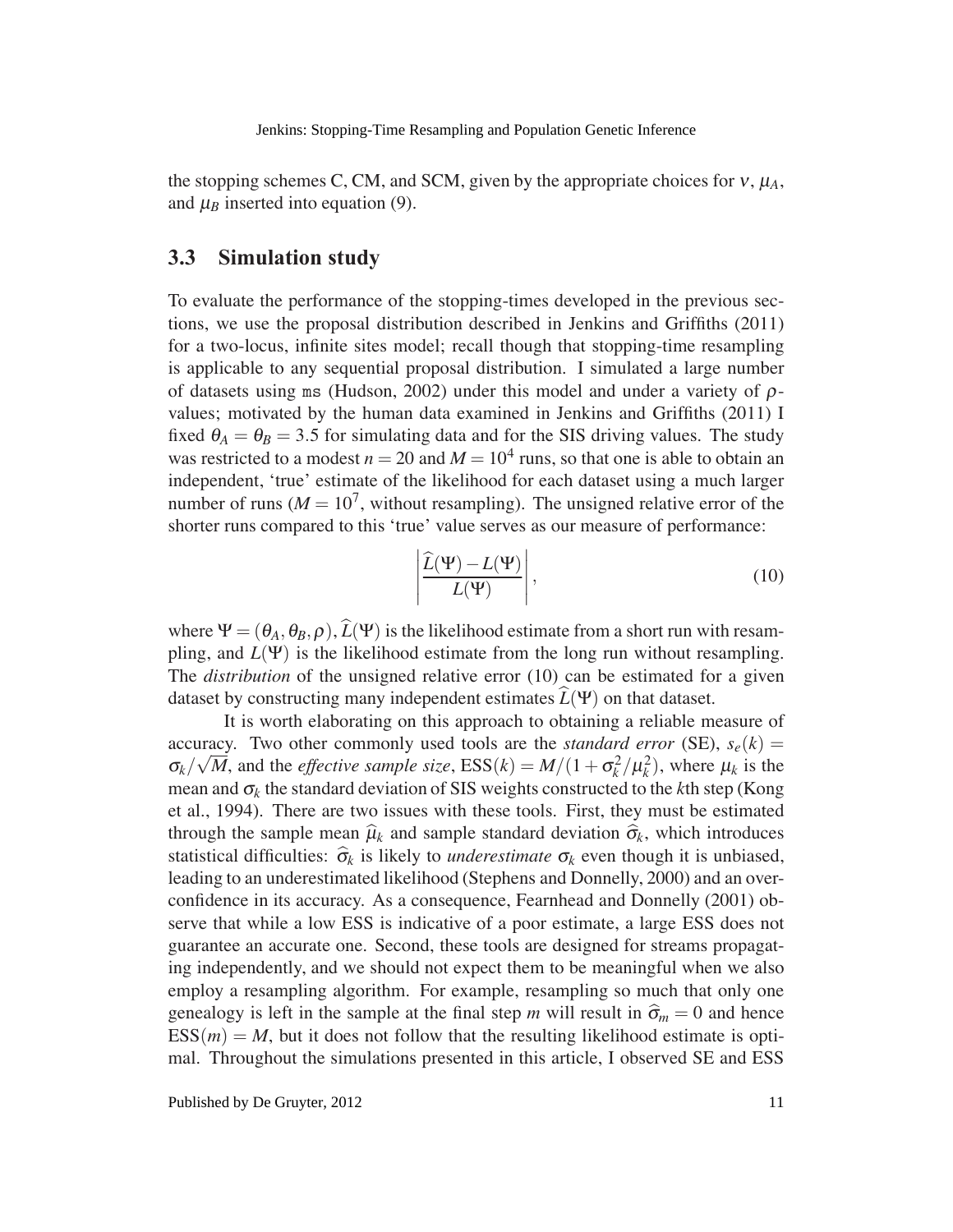the stopping schemes C, CM, and SCM, given by the appropriate choices for  $v, \mu_A$ , and  $\mu_B$  inserted into equation (9).

### **3.3 Simulation study**

To evaluate the performance of the stopping-times developed in the previous sections, we use the proposal distribution described in Jenkins and Griffiths (2011) for a two-locus, infinite sites model; recall though that stopping-time resampling is applicable to any sequential proposal distribution. I simulated a large number of datasets using ms (Hudson, 2002) under this model and under a variety of  $\rho$ values; motivated by the human data examined in Jenkins and Griffiths (2011) I fixed  $\theta_A = \theta_B = 3.5$  for simulating data and for the SIS driving values. The study was restricted to a modest  $n = 20$  and  $M = 10<sup>4</sup>$  runs, so that one is able to obtain an independent, 'true' estimate of the likelihood for each dataset using a much larger number of runs ( $M = 10<sup>7</sup>$ , without resampling). The unsigned relative error of the shorter runs compared to this 'true' value serves as our measure of performance:

$$
\frac{\widehat{L}(\Psi) - L(\Psi)}{L(\Psi)}\Bigg|, \tag{10}
$$

where  $\Psi = (\theta_A, \theta_B, \rho), \hat{L}(\Psi)$  is the likelihood estimate from a short run with resampling, and  $L(\Psi)$  is the likelihood estimate from the long run without resampling. The *distribution* of the unsigned relative error (10) can be estimated for a given dataset by constructing many independent estimates  $\widehat{L}(\Psi)$  on that dataset.

 $\overline{\phantom{a}}$  $\overline{\phantom{a}}$  $\mathbf{\mathbf{I}}$  $\mathbf{\mathbf{I}}$  $\overline{\phantom{a}}$ 

It is worth elaborating on this approach to obtaining a reliable measure of accuracy. Two other commonly used tools are the *standard error* (SE),  $s_e(k) =$  $\sigma_k/\sqrt{M}$ , and the *effective sample size*,  $ESS(k) = M/(1 + \sigma_k^2/\mu_k^2)$ , where  $\mu_k$  is the mean and  $\sigma_k$  the standard deviation of SIS weights constructed to the *k*th step (Kong et al., 1994). There are two issues with these tools. First, they must be estimated through the sample mean  $\hat{\mu}_k$  and sample standard deviation  $\hat{\sigma}_k$ , which introduces statistical difficulties:  $\hat{\sigma}_k$  is likely to *underestimate*  $\sigma_k$  even though it is unbiased, leading to an underestimated likelihood (Stephens and Donnelly, 2000) and an overconfidence in its accuracy. As a consequence, Fearnhead and Donnelly (2001) observe that while a low ESS is indicative of a poor estimate, a large ESS does not guarantee an accurate one. Second, these tools are designed for streams propagating independently, and we should not expect them to be meaningful when we also employ a resampling algorithm. For example, resampling so much that only one genealogy is left in the sample at the final step *m* will result in  $\hat{\sigma}_m = 0$  and hence  $ESS(m) = M$ , but it does not follow that the resulting likelihood estimate is optimal. Throughout the simulations presented in this article, I observed SE and ESS

Published by De Gruyter, 2012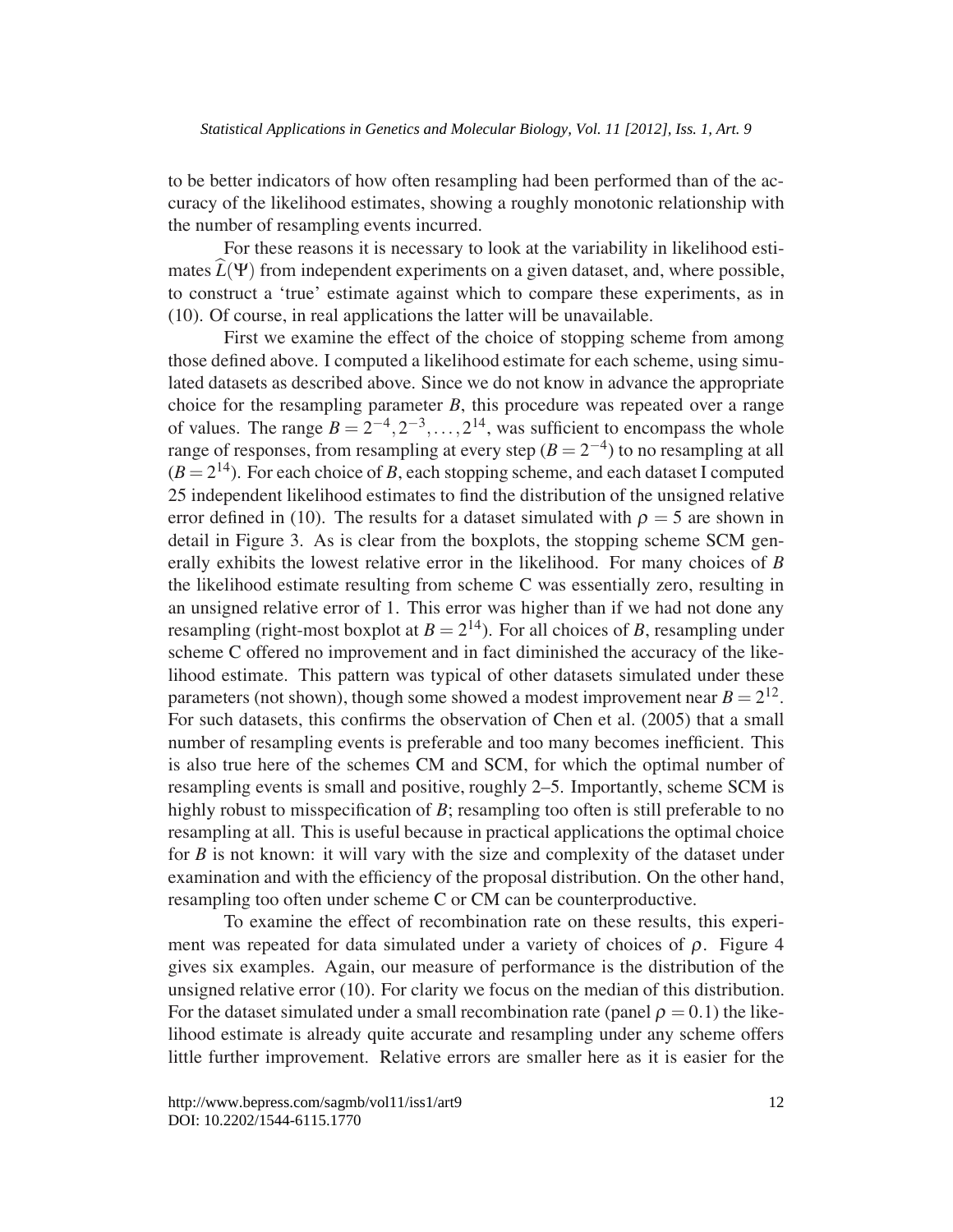to be better indicators of how often resampling had been performed than of the accuracy of the likelihood estimates, showing a roughly monotonic relationship with the number of resampling events incurred.

For these reasons it is necessary to look at the variability in likelihood estimates  $\widehat{L}(\Psi)$  from independent experiments on a given dataset, and, where possible, to construct a 'true' estimate against which to compare these experiments, as in (10). Of course, in real applications the latter will be unavailable.

First we examine the effect of the choice of stopping scheme from among those defined above. I computed a likelihood estimate for each scheme, using simulated datasets as described above. Since we do not know in advance the appropriate choice for the resampling parameter *B*, this procedure was repeated over a range of values. The range  $B = 2^{-4}, 2^{-3}, \ldots, 2^{14}$ , was sufficient to encompass the whole range of responses, from resampling at every step  $(B = 2^{-4})$  to no resampling at all  $(B = 2<sup>14</sup>)$ . For each choice of *B*, each stopping scheme, and each dataset I computed 25 independent likelihood estimates to find the distribution of the unsigned relative error defined in (10). The results for a dataset simulated with  $\rho = 5$  are shown in detail in Figure 3. As is clear from the boxplots, the stopping scheme SCM generally exhibits the lowest relative error in the likelihood. For many choices of *B* the likelihood estimate resulting from scheme C was essentially zero, resulting in an unsigned relative error of 1. This error was higher than if we had not done any resampling (right-most boxplot at  $B = 2^{14}$ ). For all choices of *B*, resampling under scheme C offered no improvement and in fact diminished the accuracy of the likelihood estimate. This pattern was typical of other datasets simulated under these parameters (not shown), though some showed a modest improvement near  $B = 2^{12}$ . For such datasets, this confirms the observation of Chen et al. (2005) that a small number of resampling events is preferable and too many becomes inefficient. This is also true here of the schemes CM and SCM, for which the optimal number of resampling events is small and positive, roughly 2–5. Importantly, scheme SCM is highly robust to misspecification of *B*; resampling too often is still preferable to no resampling at all. This is useful because in practical applications the optimal choice for *B* is not known: it will vary with the size and complexity of the dataset under examination and with the efficiency of the proposal distribution. On the other hand, resampling too often under scheme C or CM can be counterproductive.

To examine the effect of recombination rate on these results, this experiment was repeated for data simulated under a variety of choices of  $\rho$ . Figure 4 gives six examples. Again, our measure of performance is the distribution of the unsigned relative error (10). For clarity we focus on the median of this distribution. For the dataset simulated under a small recombination rate (panel  $\rho = 0.1$ ) the likelihood estimate is already quite accurate and resampling under any scheme offers little further improvement. Relative errors are smaller here as it is easier for the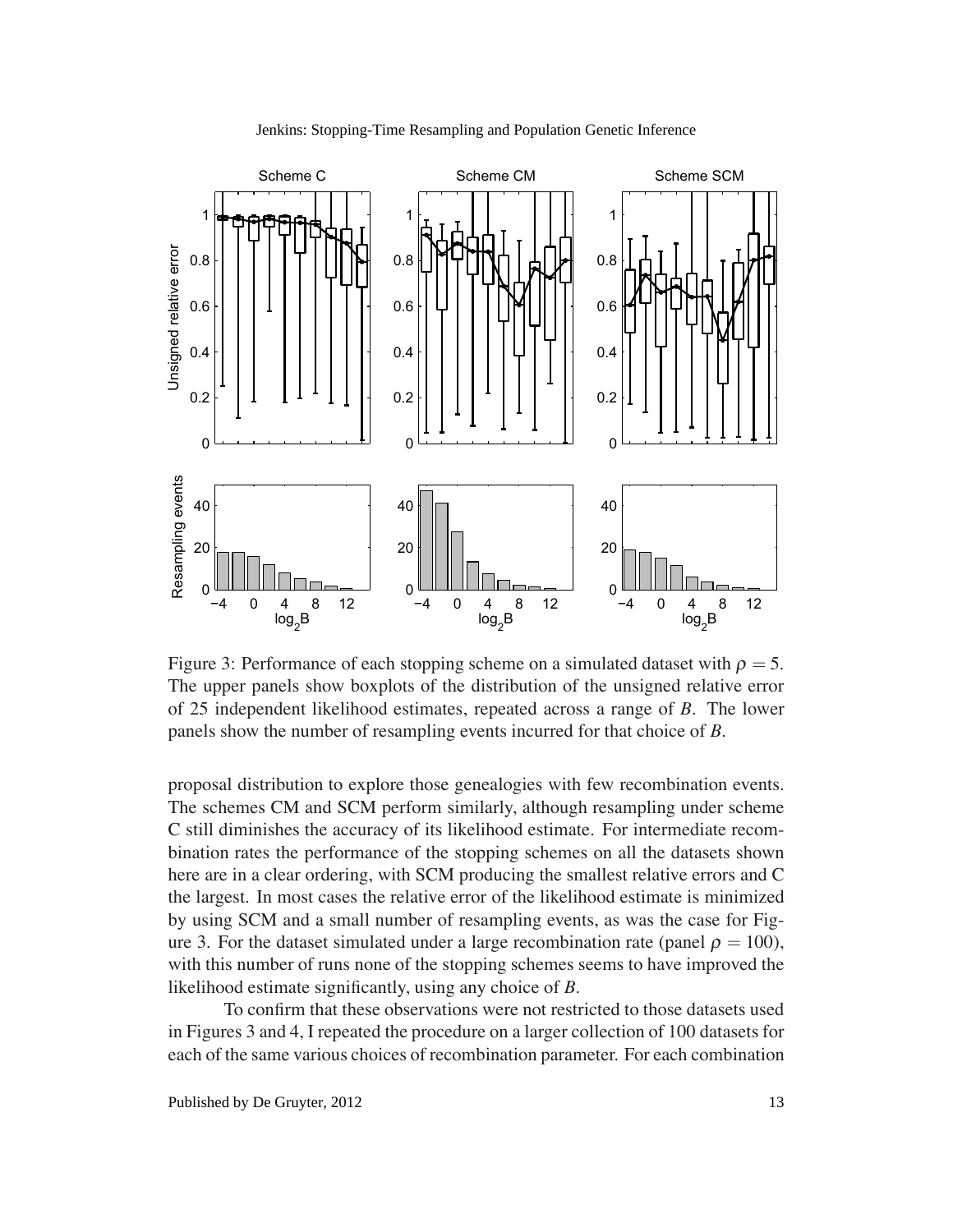

Jenkins: Stopping-Time Resampling and Population Genetic Inference

Figure 3: Performance of each stopping scheme on a simulated dataset with  $\rho = 5$ . The upper panels show boxplots of the distribution of the unsigned relative error of 25 independent likelihood estimates, repeated across a range of *B*. The lower panels show the number of resampling events incurred for that choice of *B*.

proposal distribution to explore those genealogies with few recombination events. The schemes CM and SCM perform similarly, although resampling under scheme C still diminishes the accuracy of its likelihood estimate. For intermediate recombination rates the performance of the stopping schemes on all the datasets shown here are in a clear ordering, with SCM producing the smallest relative errors and C the largest. In most cases the relative error of the likelihood estimate is minimized by using SCM and a small number of resampling events, as was the case for Figure 3. For the dataset simulated under a large recombination rate (panel  $\rho = 100$ ), with this number of runs none of the stopping schemes seems to have improved the likelihood estimate significantly, using any choice of *B*.

To confirm that these observations were not restricted to those datasets used in Figures 3 and 4, I repeated the procedure on a larger collection of 100 datasets for each of the same various choices of recombination parameter. For each combination

Published by De Gruyter, 2012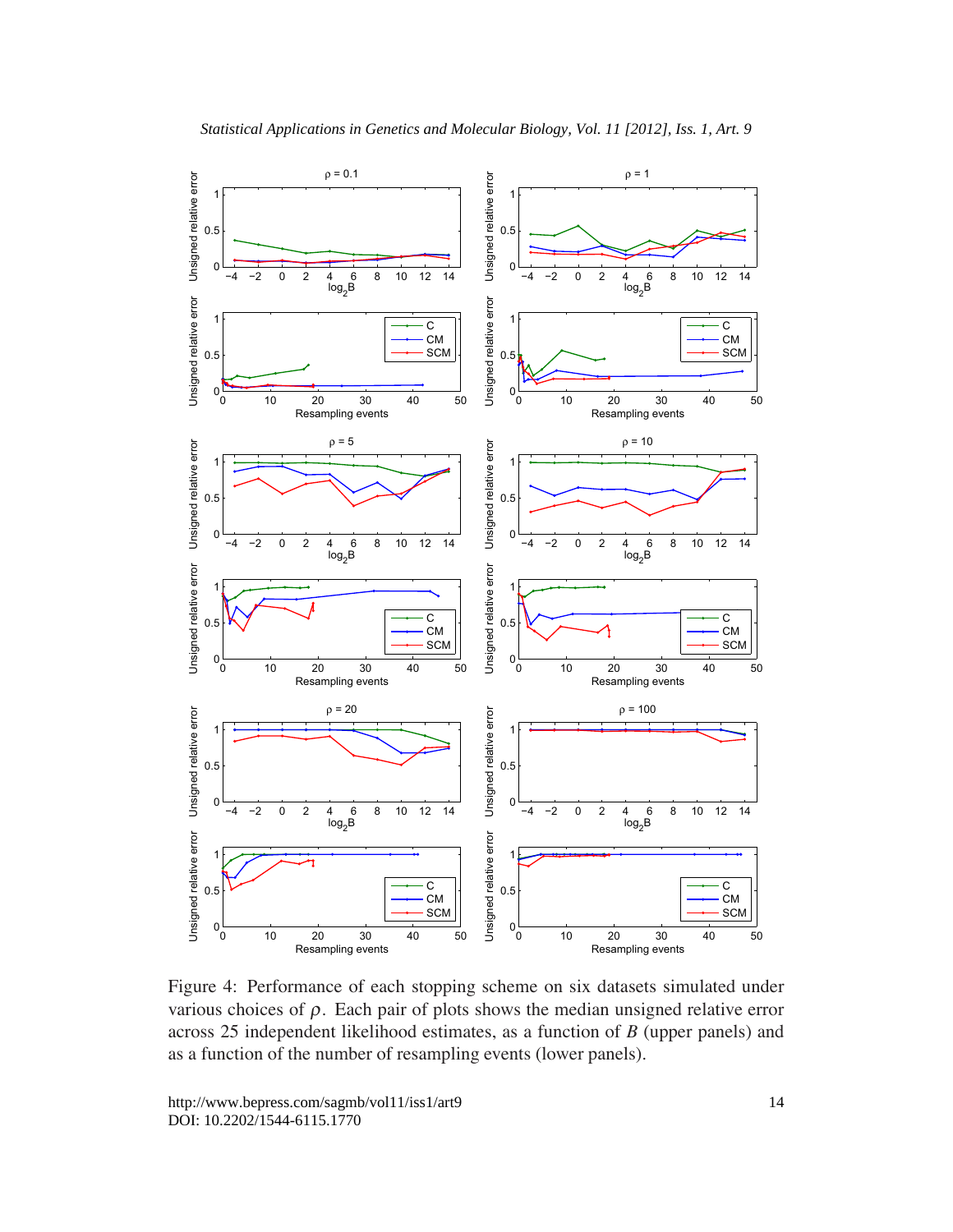

Figure 4: Performance of each stopping scheme on six datasets simulated under various choices of  $\rho$ . Each pair of plots shows the median unsigned relative error across 25 independent likelihood estimates, as a function of *B* (upper panels) and as a function of the number of resampling events (lower panels).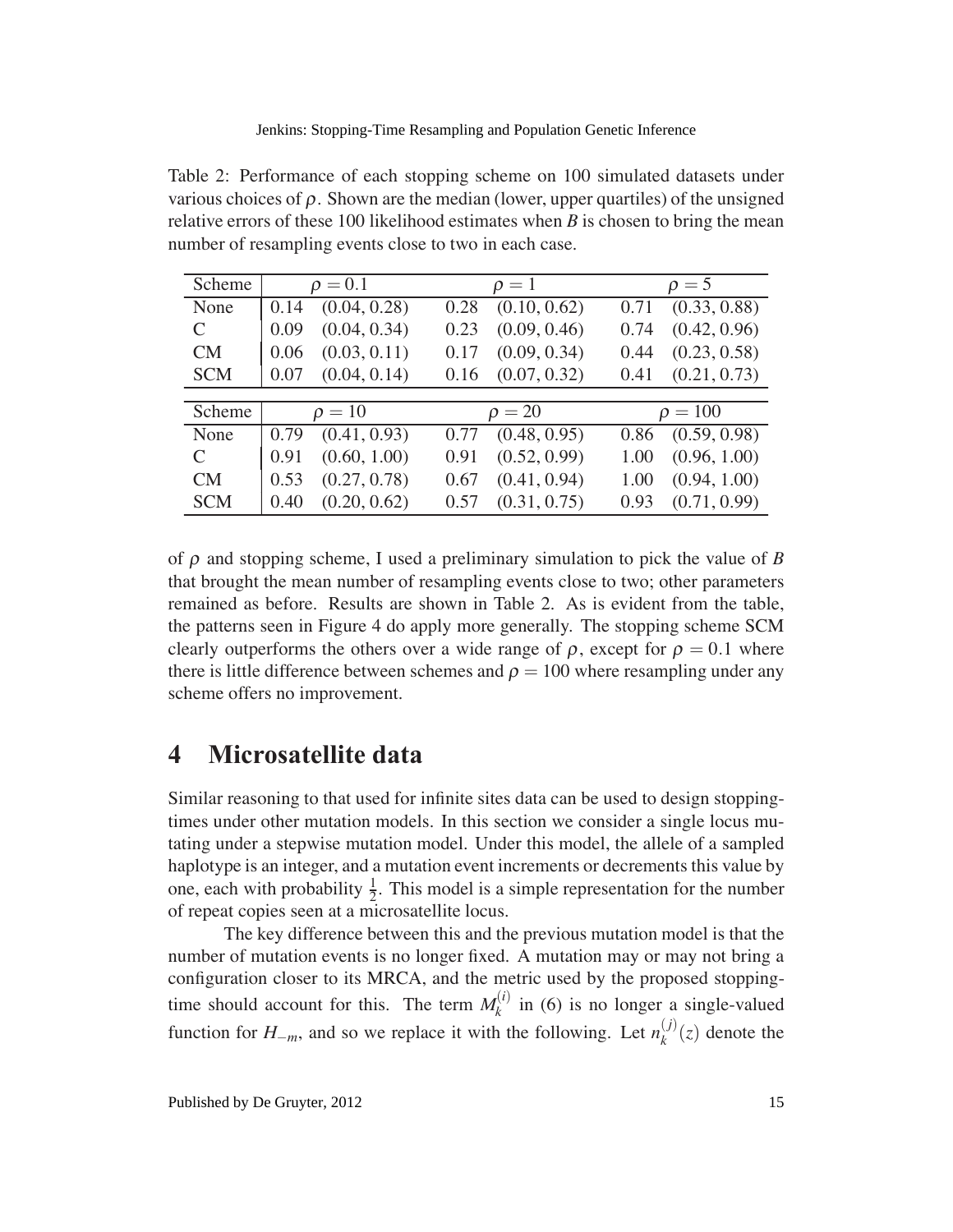Table 2: Performance of each stopping scheme on 100 simulated datasets under various choices of ρ. Shown are the median (lower, upper quartiles) of the unsigned relative errors of these 100 likelihood estimates when *B* is chosen to bring the mean number of resampling events close to two in each case.

| Scheme     | $\rho = 0.1$ | $\rho=1$     | $\rho = 5$   |
|------------|--------------|--------------|--------------|
| None       | (0.04, 0.28) | (0.10, 0.62) | (0.33, 0.88) |
|            | 0.14         | 0.28         | 0.71         |
| C          | (0.04, 0.34) | (0.09, 0.46) | (0.42, 0.96) |
|            | 0.09         | 0.23         | 0.74         |
| CM         | (0.03, 0.11) | (0.09, 0.34) | (0.23, 0.58) |
|            | 0.06         | 0.17         | 0.44         |
| <b>SCM</b> | (0.04, 0.14) | (0.07, 0.32) | (0.21, 0.73) |
|            | 0.07         | 0.16         | 0.41         |
|            |              |              |              |
| Scheme     | $\rho = 10$  | $\rho = 20$  | $\rho = 100$ |
| None       | (0.41, 0.93) | (0.48, 0.95) | (0.59, 0.98) |
|            | 0.79         | 0.77         | 0.86         |
| C          | (0.60, 1.00) | (0.52, 0.99) | (0.96, 1.00) |
|            | 0.91         | 0.91         | 1.00         |
| CM         | (0.27, 0.78) | (0.41, 0.94) | (0.94, 1.00) |
|            | 0.53         | 0.67         | 1.00         |
| <b>SCM</b> | (0.20, 0.62) | (0.31, 0.75) | (0.71, 0.99) |
|            | 0.40         | 0.57         | 0.93         |

of ρ and stopping scheme, I used a preliminary simulation to pick the value of *B* that brought the mean number of resampling events close to two; other parameters remained as before. Results are shown in Table 2. As is evident from the table, the patterns seen in Figure 4 do apply more generally. The stopping scheme SCM clearly outperforms the others over a wide range of  $\rho$ , except for  $\rho = 0.1$  where there is little difference between schemes and  $\rho = 100$  where resampling under any scheme offers no improvement.

## **4 Microsatellite data**

Similar reasoning to that used for infinite sites data can be used to design stoppingtimes under other mutation models. In this section we consider a single locus mutating under a stepwise mutation model. Under this model, the allele of a sampled haplotype is an integer, and a mutation event increments or decrements this value by one, each with probability  $\frac{1}{2}$ . This model is a simple representation for the number of repeat copies seen at a microsatellite locus.

The key difference between this and the previous mutation model is that the number of mutation events is no longer fixed. A mutation may or may not bring a configuration closer to its MRCA, and the metric used by the proposed stoppingtime should account for this. The term  $M_k^{(i)}$  in (6) is no longer a single-valued function for  $H_{-m}$ , and so we replace it with the following. Let  $n_k^{(j)}(z)$  denote the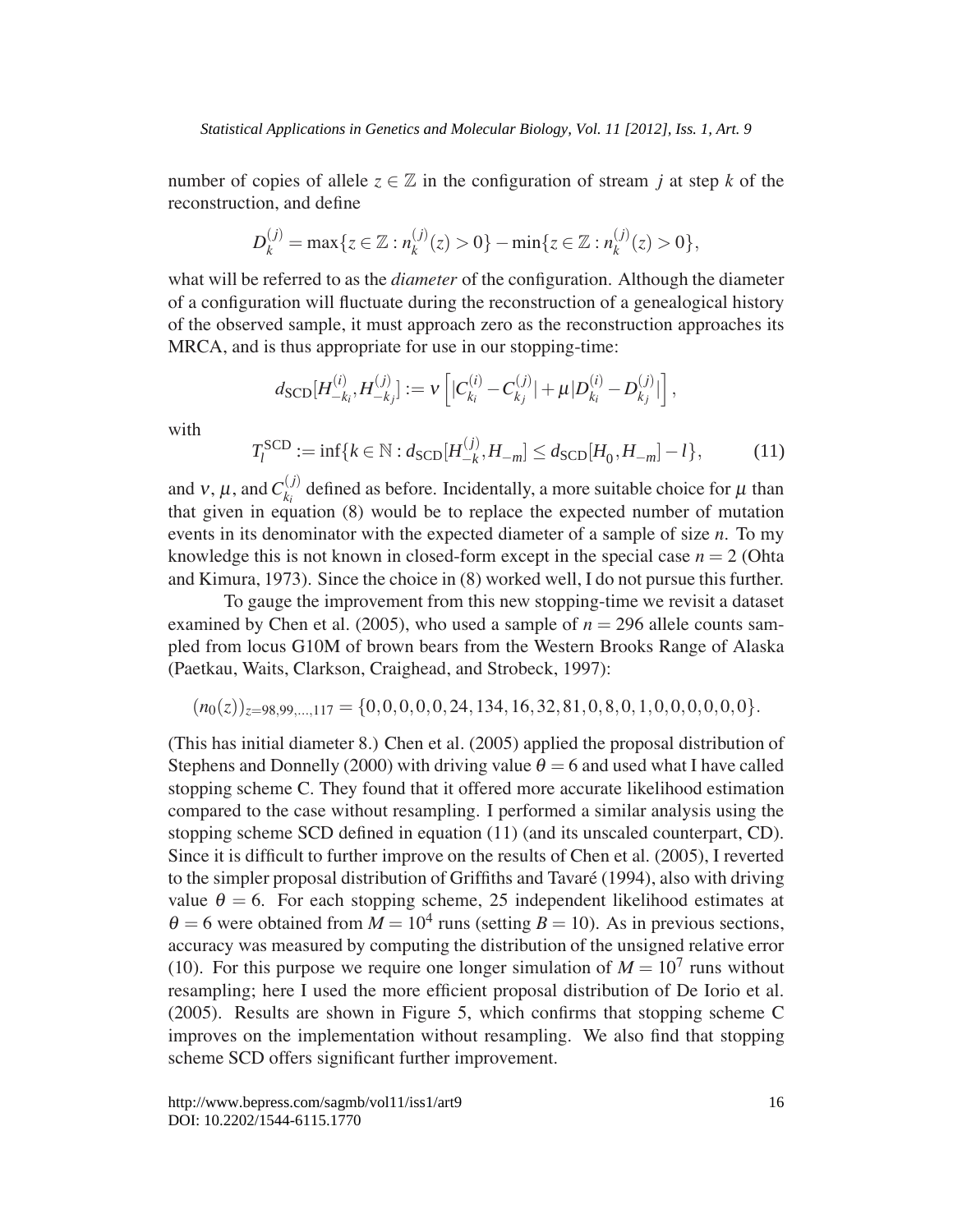number of copies of allele  $z \in \mathbb{Z}$  in the configuration of stream *j* at step *k* of the reconstruction, and define

$$
D_k^{(j)} = \max\{z \in \mathbb{Z} : n_k^{(j)}(z) > 0\} - \min\{z \in \mathbb{Z} : n_k^{(j)}(z) > 0\},\
$$

what will be referred to as the *diameter* of the configuration. Although the diameter of a configuration will fluctuate during the reconstruction of a genealogical history of the observed sample, it must approach zero as the reconstruction approaches its MRCA, and is thus appropriate for use in our stopping-time:

$$
d_{\text{SCD}}[H_{-k_i}^{(i)},H_{-k_j}^{(j)}] := v \left[|C_{k_i}^{(i)} - C_{k_j}^{(j)}| + \mu |D_{k_i}^{(i)} - D_{k_j}^{(j)}|\right],
$$

with

$$
T_l^{\text{SCD}} := \inf \{ k \in \mathbb{N} : d_{\text{SCD}}[H_{-k}^{(j)}, H_{-m}] \le d_{\text{SCD}}[H_0, H_{-m}] - l \},\tag{11}
$$

and  $v, \mu$ , and  $C_{k_i}^{(j)}$  defined as before. Incidentally, a more suitable choice for  $\mu$  than that given in equation (8) would be to replace the expected number of mutation events in its denominator with the expected diameter of a sample of size *n*. To my knowledge this is not known in closed-form except in the special case  $n = 2$  (Ohta and Kimura, 1973). Since the choice in (8) worked well, I do not pursue this further.

To gauge the improvement from this new stopping-time we revisit a dataset examined by Chen et al. (2005), who used a sample of  $n = 296$  allele counts sampled from locus G10M of brown bears from the Western Brooks Range of Alaska (Paetkau, Waits, Clarkson, Craighead, and Strobeck, 1997):

$$
(n_0(z))_{z=98,99,\dots,117} = \{0,0,0,0,0,24,134,16,32,81,0,8,0,1,0,0,0,0,0,0\}.
$$

(This has initial diameter 8.) Chen et al. (2005) applied the proposal distribution of Stephens and Donnelly (2000) with driving value  $\theta = 6$  and used what I have called stopping scheme C. They found that it offered more accurate likelihood estimation compared to the case without resampling. I performed a similar analysis using the stopping scheme SCD defined in equation (11) (and its unscaled counterpart, CD). Since it is difficult to further improve on the results of Chen et al. (2005), I reverted to the simpler proposal distribution of Griffiths and Tavaré (1994), also with driving value  $\theta = 6$ . For each stopping scheme, 25 independent likelihood estimates at  $\theta = 6$  were obtained from  $M = 10^4$  runs (setting  $B = 10$ ). As in previous sections, accuracy was measured by computing the distribution of the unsigned relative error (10). For this purpose we require one longer simulation of  $M = 10<sup>7</sup>$  runs without resampling; here I used the more efficient proposal distribution of De Iorio et al. (2005). Results are shown in Figure 5, which confirms that stopping scheme C improves on the implementation without resampling. We also find that stopping scheme SCD offers significant further improvement.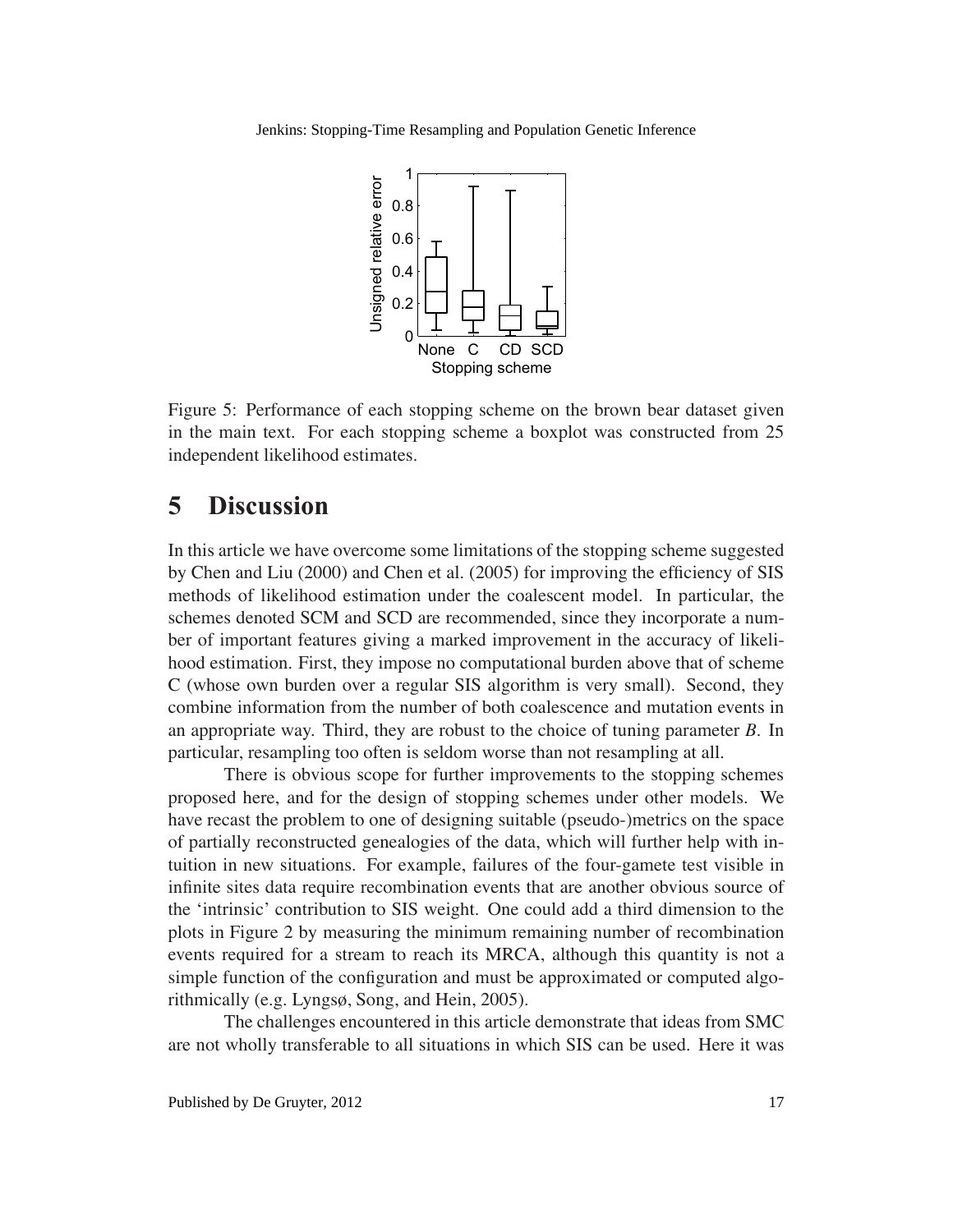

Figure 5: Performance of each stopping scheme on the brown bear dataset given in the main text. For each stopping scheme a boxplot was constructed from 25 independent likelihood estimates.

# **5 Discussion**

In this article we have overcome some limitations of the stopping scheme suggested by Chen and Liu (2000) and Chen et al. (2005) for improving the efficiency of SIS methods of likelihood estimation under the coalescent model. In particular, the schemes denoted SCM and SCD are recommended, since they incorporate a number of important features giving a marked improvement in the accuracy of likelihood estimation. First, they impose no computational burden above that of scheme C (whose own burden over a regular SIS algorithm is very small). Second, they combine information from the number of both coalescence and mutation events in an appropriate way. Third, they are robust to the choice of tuning parameter *B*. In particular, resampling too often is seldom worse than not resampling at all.

There is obvious scope for further improvements to the stopping schemes proposed here, and for the design of stopping schemes under other models. We have recast the problem to one of designing suitable (pseudo-)metrics on the space of partially reconstructed genealogies of the data, which will further help with intuition in new situations. For example, failures of the four-gamete test visible in infinite sites data require recombination events that are another obvious source of the 'intrinsic' contribution to SIS weight. One could add a third dimension to the plots in Figure 2 by measuring the minimum remaining number of recombination events required for a stream to reach its MRCA, although this quantity is not a simple function of the configuration and must be approximated or computed algorithmically (e.g. Lyngsø, Song, and Hein, 2005).

The challenges encountered in this article demonstrate that ideas from SMC are not wholly transferable to all situations in which SIS can be used. Here it was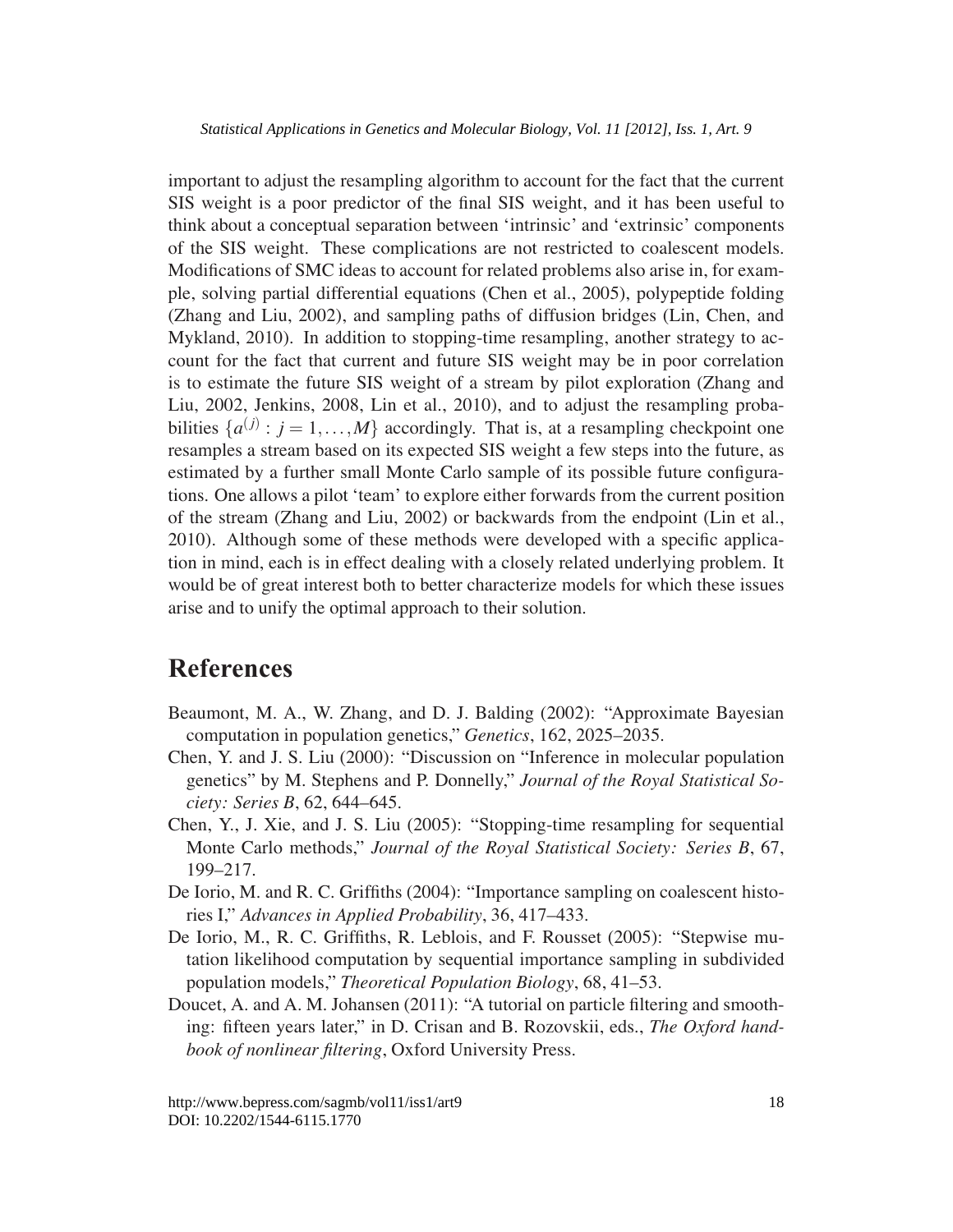important to adjust the resampling algorithm to account for the fact that the current SIS weight is a poor predictor of the final SIS weight, and it has been useful to think about a conceptual separation between 'intrinsic' and 'extrinsic' components of the SIS weight. These complications are not restricted to coalescent models. Modifications of SMC ideas to account for related problems also arise in, for example, solving partial differential equations (Chen et al., 2005), polypeptide folding (Zhang and Liu, 2002), and sampling paths of diffusion bridges (Lin, Chen, and Mykland, 2010). In addition to stopping-time resampling, another strategy to account for the fact that current and future SIS weight may be in poor correlation is to estimate the future SIS weight of a stream by pilot exploration (Zhang and Liu, 2002, Jenkins, 2008, Lin et al., 2010), and to adjust the resampling probabilities  $\{a^{(j)}: j = 1, ..., M\}$  accordingly. That is, at a resampling checkpoint one resamples a stream based on its expected SIS weight a few steps into the future, as estimated by a further small Monte Carlo sample of its possible future configurations. One allows a pilot 'team' to explore either forwards from the current position of the stream (Zhang and Liu, 2002) or backwards from the endpoint (Lin et al., 2010). Although some of these methods were developed with a specific application in mind, each is in effect dealing with a closely related underlying problem. It would be of great interest both to better characterize models for which these issues arise and to unify the optimal approach to their solution.

# **References**

- Beaumont, M. A., W. Zhang, and D. J. Balding (2002): "Approximate Bayesian computation in population genetics," *Genetics*, 162, 2025–2035.
- Chen, Y. and J. S. Liu (2000): "Discussion on "Inference in molecular population genetics" by M. Stephens and P. Donnelly," *Journal of the Royal Statistical Society: Series B*, 62, 644–645.
- Chen, Y., J. Xie, and J. S. Liu (2005): "Stopping-time resampling for sequential Monte Carlo methods," *Journal of the Royal Statistical Society: Series B*, 67, 199–217.
- De Iorio, M. and R. C. Griffiths (2004): "Importance sampling on coalescent histories I," *Advances in Applied Probability*, 36, 417–433.
- De Iorio, M., R. C. Griffiths, R. Leblois, and F. Rousset (2005): "Stepwise mutation likelihood computation by sequential importance sampling in subdivided population models," *Theoretical Population Biology*, 68, 41–53.
- Doucet, A. and A. M. Johansen (2011): "A tutorial on particle filtering and smoothing: fifteen years later," in D. Crisan and B. Rozovskii, eds., *The Oxford handbook of nonlinear filtering*, Oxford University Press.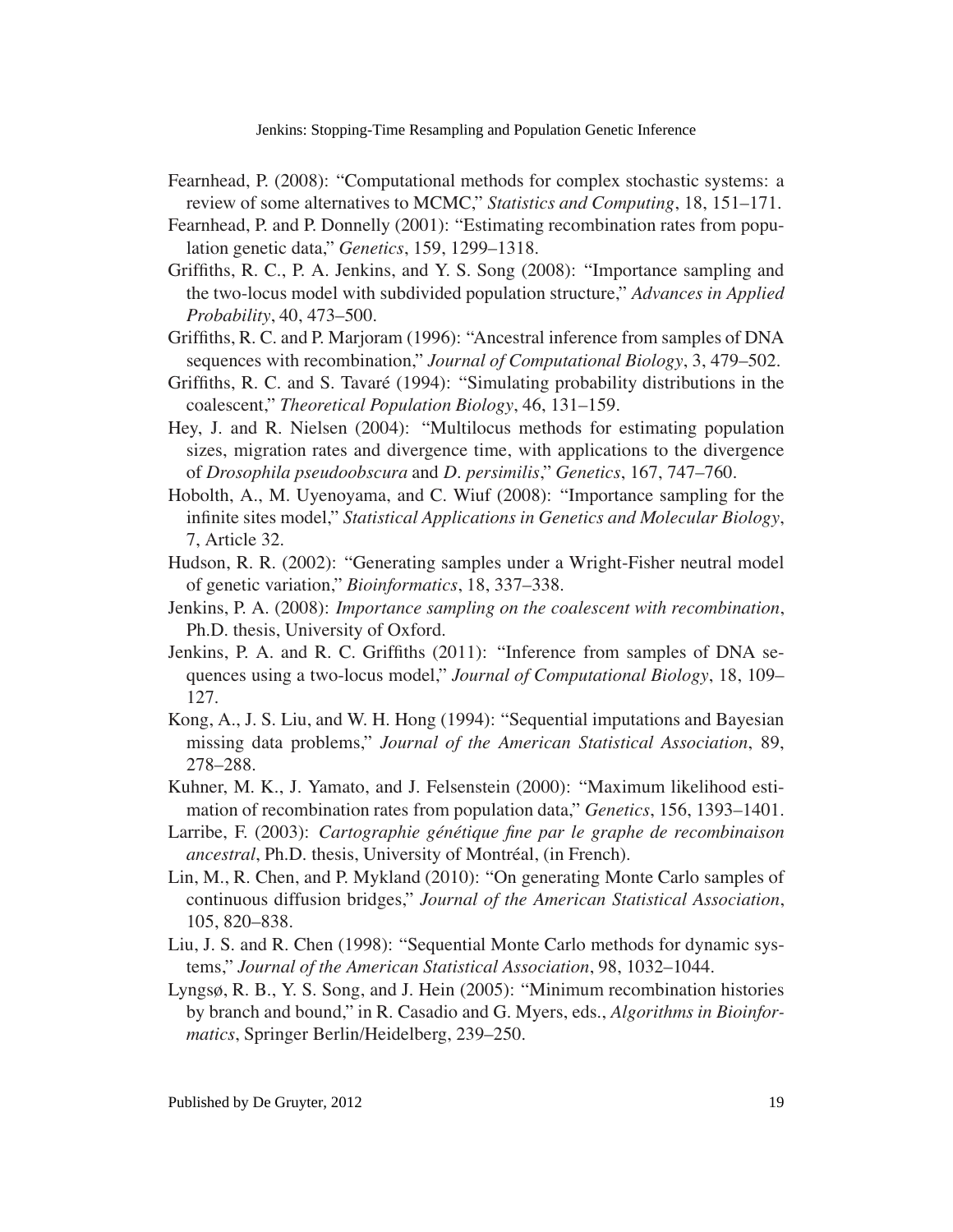- Fearnhead, P. (2008): "Computational methods for complex stochastic systems: a review of some alternatives to MCMC," *Statistics and Computing*, 18, 151–171.
- Fearnhead, P. and P. Donnelly (2001): "Estimating recombination rates from population genetic data," *Genetics*, 159, 1299–1318.
- Griffiths, R. C., P. A. Jenkins, and Y. S. Song (2008): "Importance sampling and the two-locus model with subdivided population structure," *Advances in Applied Probability*, 40, 473–500.
- Griffiths, R. C. and P. Marjoram (1996): "Ancestral inference from samples of DNA sequences with recombination," *Journal of Computational Biology*, 3, 479–502.
- Griffiths, R. C. and S. Tavaré (1994): "Simulating probability distributions in the coalescent," *Theoretical Population Biology*, 46, 131–159.
- Hey, J. and R. Nielsen (2004): "Multilocus methods for estimating population sizes, migration rates and divergence time, with applications to the divergence of *Drosophila pseudoobscura* and *D. persimilis*," *Genetics*, 167, 747–760.
- Hobolth, A., M. Uyenoyama, and C. Wiuf (2008): "Importance sampling for the infinite sites model," *Statistical Applications in Genetics and Molecular Biology*, 7, Article 32.
- Hudson, R. R. (2002): "Generating samples under a Wright-Fisher neutral model of genetic variation," *Bioinformatics*, 18, 337–338.
- Jenkins, P. A. (2008): *Importance sampling on the coalescent with recombination*, Ph.D. thesis, University of Oxford.
- Jenkins, P. A. and R. C. Griffiths (2011): "Inference from samples of DNA sequences using a two-locus model," *Journal of Computational Biology*, 18, 109– 127.
- Kong, A., J. S. Liu, and W. H. Hong (1994): "Sequential imputations and Bayesian missing data problems," *Journal of the American Statistical Association*, 89, 278–288.
- Kuhner, M. K., J. Yamato, and J. Felsenstein (2000): "Maximum likelihood estimation of recombination rates from population data," *Genetics*, 156, 1393–1401.
- Larribe, F. (2003): *Cartographie génétique fine par le graphe de recombinaison ancestral*, Ph.D. thesis, University of Montréal, (in French).
- Lin, M., R. Chen, and P. Mykland (2010): "On generating Monte Carlo samples of continuous diffusion bridges," *Journal of the American Statistical Association*, 105, 820–838.
- Liu, J. S. and R. Chen (1998): "Sequential Monte Carlo methods for dynamic systems," *Journal of the American Statistical Association*, 98, 1032–1044.
- Lyngsø, R. B., Y. S. Song, and J. Hein (2005): "Minimum recombination histories by branch and bound," in R. Casadio and G. Myers, eds., *Algorithms in Bioinformatics*, Springer Berlin/Heidelberg, 239–250.